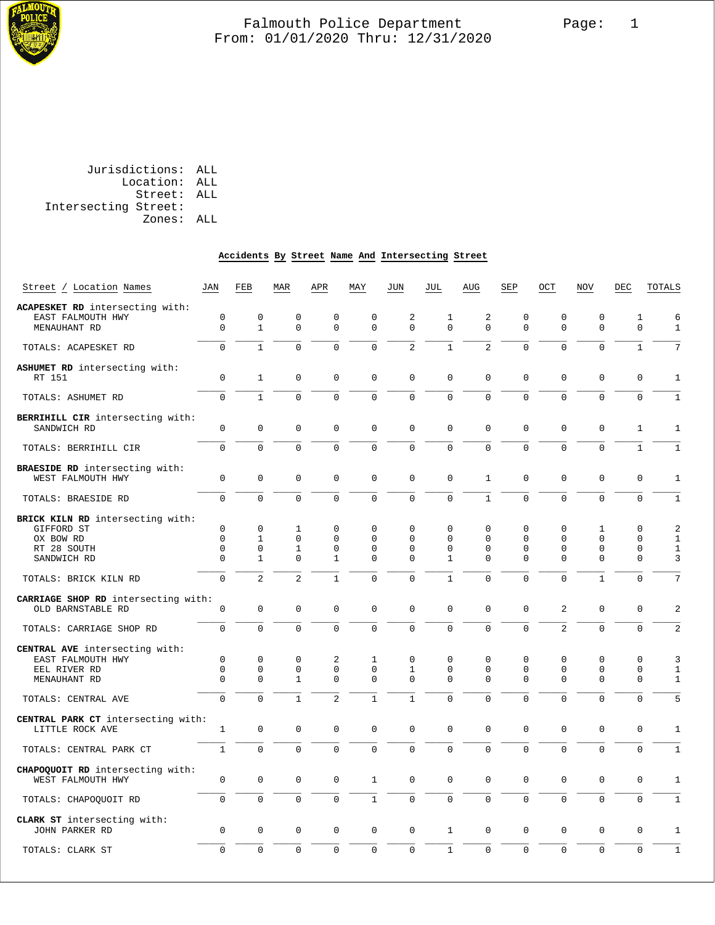

| Jurisdictions: ALL |                      |
|--------------------|----------------------|
| Location: ALL      |                      |
| Street: ALL        |                      |
|                    | Intersecting Street: |
| Zones: ALL         |                      |
|                    |                      |

#### **Accidents By Street Name And Intersecting Street**

| Street / Location Names                 | <b>JAN</b>   | FEB            | <b>MAR</b>     | APR            | MAY            | JUN            | JUL            | AUG            | SEP         | OCT            | <b>NOV</b>     | DEC            | TOTALS          |
|-----------------------------------------|--------------|----------------|----------------|----------------|----------------|----------------|----------------|----------------|-------------|----------------|----------------|----------------|-----------------|
| ACAPESKET RD intersecting with:         |              |                |                |                |                |                |                |                |             |                |                |                |                 |
| EAST FALMOUTH HWY                       | $\mathbf 0$  | $\mathbf 0$    | $\mathbf 0$    | $\mathbf 0$    | $\mathbf 0$    | 2              | $\mathbf{1}$   | 2              | $\mathbf 0$ | $\mathbf 0$    | $\mathbf 0$    | $\mathbf{1}$   | 6               |
| MENAUHANT RD                            | $\mathbf 0$  | $\mathbf{1}$   | $\Omega$       | $\Omega$       | $\Omega$       | $\mathbf 0$    | $\Omega$       | $\Omega$       | $\Omega$    | $\mathbf 0$    | $\Omega$       | $\mathbf 0$    | $\mathbf{1}$    |
| TOTALS: ACAPESKET RD                    | $\mathbf 0$  | $\mathbf{1}$   | 0              | 0              | $\mathbf 0$    | $\overline{2}$ | $\mathbf{1}$   | $\overline{a}$ | $\mathbf 0$ | 0              | 0              | $1\,$          | $7\phantom{.0}$ |
| ASHUMET RD intersecting with:<br>RT 151 | $\mathbf 0$  | $\mathbf{1}$   | $\mathbf 0$    | $\mathbf 0$    | $\mathbf 0$    | $\mathbf 0$    | $\Omega$       | 0              | 0           | $\overline{0}$ | $\mathbf 0$    | $\mathsf 0$    | $\mathbf{1}$    |
| TOTALS: ASHUMET RD                      | $\Omega$     | $\mathbf{1}$   | $\Omega$       | $\Omega$       | $\Omega$       | $\mathbf 0$    | $\Omega$       | $\Omega$       | $\Omega$    | $\Omega$       | $\Omega$       | $\overline{0}$ | $\mathbf{1}$    |
| BERRIHILL CIR intersecting with:        |              |                |                |                |                |                |                |                |             |                |                |                |                 |
| SANDWICH RD                             | $\mathbf 0$  | 0              | 0              | 0              | $\mathbf 0$    | $\mathbf 0$    | $\mathbf 0$    | 0              | $\mathbf 0$ | 0              | $\mathbf 0$    | $\mathbf{1}$   | $\mathbf{1}$    |
| TOTALS: BERRIHILL CIR                   | $\Omega$     | $\Omega$       | $\Omega$       | $\Omega$       | $\Omega$       | $\Omega$       | $\Omega$       | $\Omega$       | $\Omega$    | $\Omega$       | $\Omega$       | $\mathbf{1}$   | $\mathbf{1}$    |
| BRAESIDE RD intersecting with:          |              |                |                |                |                |                |                |                |             |                |                |                |                 |
| WEST FALMOUTH HWY                       | $\mathbf 0$  | 0              | $\Omega$       | $\Omega$       | $\mathbf 0$    | $\mathbf 0$    | $\Omega$       | $\mathbf{1}$   | 0           | 0              | $\mathbf 0$    | $\mathbf 0$    | $\mathbf{1}$    |
| TOTALS: BRAESIDE RD                     | $\Omega$     | $\Omega$       | $\Omega$       | 0              | $\mathbf 0$    | $\mathbf 0$    | $\overline{0}$ | $\mathbf{1}$   | $\Omega$    | $\Omega$       | $\Omega$       | $\overline{0}$ | $\mathbf{1}$    |
| BRICK KILN RD intersecting with:        |              |                |                |                |                |                |                |                |             |                |                |                |                 |
| GIFFORD ST                              | $\mathsf 0$  | $\mathsf 0$    | 1              | 0              | $\Omega$       | 0              | $\Omega$       | 0              | 0           | 0              | $\mathbf{1}$   | $\Omega$       | $\overline{a}$  |
| OX BOW RD                               | $\mathbf 0$  | $\mathbf{1}$   | $\mathbf 0$    | $\mathbf 0$    | $\Omega$       | $\Omega$       | $\mathbf 0$    | 0              | 0           | 0              | $\Omega$       | $\mathbf 0$    | $\mathbf{1}$    |
| RT 28 SOUTH                             | $\Omega$     | $\Omega$       | $\mathbf{1}$   | $\Omega$       | $\Omega$       | $\Omega$       | $\Omega$       | $\Omega$       | $\Omega$    | $\Omega$       | $\Omega$       | $\Omega$       | $\mathbf{1}$    |
| SANDWICH RD                             | $\mathbf 0$  | $\mathbf{1}$   | $\overline{0}$ | $\mathbf{1}$   | 0              | $\mathbf 0$    | $\mathbf{1}$   | 0              | $\Omega$    | 0              | $\mathbf 0$    | $\overline{0}$ | 3               |
| TOTALS: BRICK KILN RD                   | $\Omega$     | $\overline{a}$ | $\overline{a}$ | $\mathbf{1}$   | $\mathbf 0$    | $\mathbf 0$    | $\mathbf{1}$   | $\Omega$       | $\Omega$    | $\overline{0}$ | $\mathbf{1}$   | $\mathbf 0$    | 7               |
| CARRIAGE SHOP RD intersecting with:     |              |                |                |                |                |                |                |                |             |                |                |                |                 |
| OLD BARNSTABLE RD                       | $\mathbf 0$  | $\mathbf 0$    | $\mathbf 0$    | $\mathbf 0$    | $\mathbf 0$    | $\mathbf 0$    | $\mathbf 0$    | 0              | $\mathbf 0$ | $\overline{2}$ | $\mathbf 0$    | 0              | $\overline{2}$  |
| TOTALS: CARRIAGE SHOP RD                | $\Omega$     | $\Omega$       | $\Omega$       | $\Omega$       | $\Omega$       | $\Omega$       | $\Omega$       | $\Omega$       | $\Omega$    | $\overline{a}$ | $\Omega$       | $\mathbf 0$    | $\overline{a}$  |
| CENTRAL AVE intersecting with:          |              |                |                |                |                |                |                |                |             |                |                |                |                 |
| EAST FALMOUTH HWY                       | $\mathbf 0$  | $\mathbf 0$    | $\mathbf 0$    | $\overline{a}$ | $\mathbf{1}$   | $\mathbf 0$    | $\mathbf 0$    | 0              | $\mathbf 0$ | 0              | $\mathbf 0$    | 0              | 3               |
| EEL RIVER RD                            | $\mathbf 0$  | $\mathbf 0$    | $\mathbf 0$    | $\mathbf 0$    | $\mathbf 0$    | $\mathbf{1}$   | $\Omega$       | 0              | 0           | 0              | $\mathbf 0$    | 0              | $\mathbf{1}$    |
| MENAUHANT RD                            | $\mathbf 0$  | $\Omega$       | $\mathbf{1}$   | $\mathbf 0$    | $\mathbf 0$    | $\mathbf 0$    | $\Omega$       | $\Omega$       | $\Omega$    | $\Omega$       | $\Omega$       | $\mathbf 0$    | $\mathbf{1}$    |
| TOTALS: CENTRAL AVE                     | $\mathbf 0$  | $\Omega$       | $\mathbf{1}$   | $\overline{a}$ | $\mathbf{1}$   | $\mathbf{1}$   | $\mathbf 0$    | 0              | 0           | 0              | 0              | $\mathbf 0$    | 5               |
| CENTRAL PARK CT intersecting with:      |              |                |                |                |                |                |                |                |             |                |                |                |                 |
| LITTLE ROCK AVE                         | $\mathbf{1}$ | $\mathbf 0$    | $\Omega$       | $\Omega$       | $\mathbf 0$    | $\mathbf{0}$   | $\Omega$       | $\Omega$       | $\Omega$    | $\Omega$       | 0              | 0              | $\mathbf{1}$    |
| TOTALS: CENTRAL PARK CT                 | $\mathbf{1}$ | $\Omega$       | $\Omega$       | $\Omega$       | $\overline{0}$ | $\mathbf 0$    | $\Omega$       | $\Omega$       | $\Omega$    | $\Omega$       | $\Omega$       | $\Omega$       | $\mathbf{1}$    |
| CHAPOQUOIT RD intersecting with:        |              |                |                |                |                |                |                |                |             |                |                |                |                 |
| WEST FALMOUTH HWY                       | $\mathsf 0$  | 0              | $\mathbf 0$    | $\mathbf 0$    | $\mathbf{1}$   | $\mathsf 0$    | $\mathsf 0$    | 0              | 0           | $\mathsf 0$    | $\mathbf 0$    | $\mathsf 0$    | $\mathbf{1}$    |
| TOTALS: CHAPOQUOIT RD                   | $\mathbf 0$  | $\overline{0}$ | 0              | 0              | $\mathbf{1}$   | $\mathbf 0$    | $\mathbf 0$    | 0              | $\mathbf 0$ | $\mathbf 0$    | $\mathbf 0$    | $\mathbf 0$    | $\mathbf{1}$    |
| CLARK ST intersecting with:             |              |                |                |                |                |                |                |                |             |                |                |                |                 |
| JOHN PARKER RD                          | $\mathbf 0$  | $\mathbf 0$    | $\mathbf 0$    | $\mathbf 0$    | $\mathbf 0$    | $\mathbf 0$    | $\mathbf{1}$   | 0              | $\mathbf 0$ | 0              | $\mathbf 0$    | $\mathsf 0$    | 1               |
| TOTALS: CLARK ST                        | $\mathbf 0$  | $\overline{0}$ | $\Omega$       | 0              | $\mathbf 0$    | $\mathbf 0$    | $\mathbf{1}$   | $\overline{0}$ | $\mathbf 0$ | 0              | $\overline{0}$ | $\overline{0}$ | $\mathbf{1}$    |
|                                         |              |                |                |                |                |                |                |                |             |                |                |                |                 |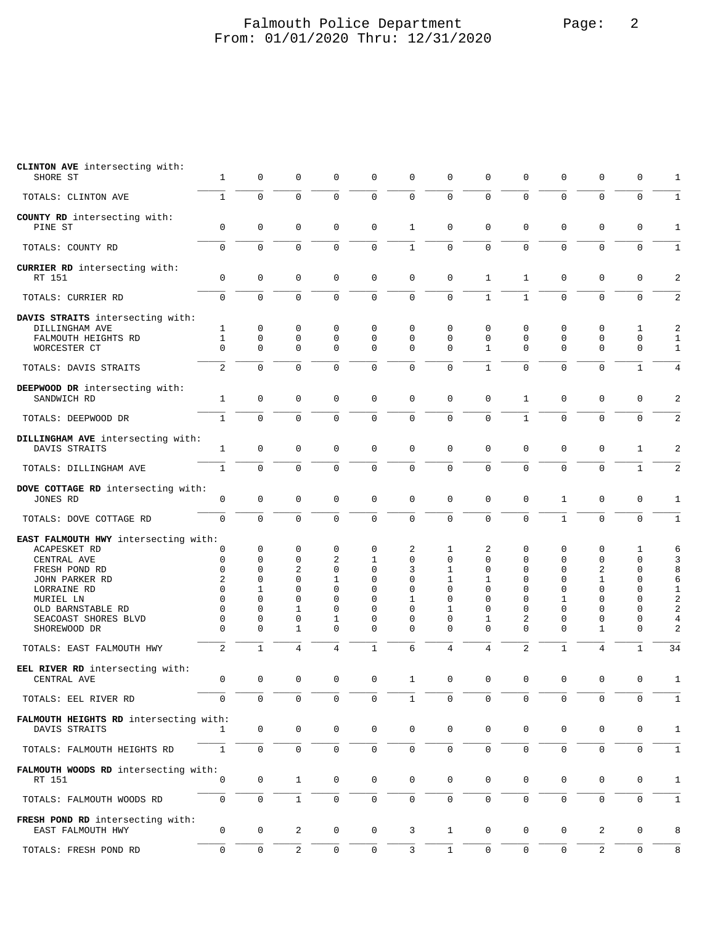# Falmouth Police Department Falmouth Police Department From: 01/01/2020 Thru: 12/31/2020

| CLINTON AVE intersecting with:<br>SHORE ST                                                                                                                                                             | 1                                                              | 0                                                                            | $\mathbf 0$                                                                                  | $\mathbf 0$                                                                       | $\mathbf 0$                                                                                               | $\mathbf 0$                                                                  | 0                                                                                           | 0                                                                                   | 0                                                                            | 0                                                                                       | 0                                                                                  | 0                                                                                                               | 1                                                                |
|--------------------------------------------------------------------------------------------------------------------------------------------------------------------------------------------------------|----------------------------------------------------------------|------------------------------------------------------------------------------|----------------------------------------------------------------------------------------------|-----------------------------------------------------------------------------------|-----------------------------------------------------------------------------------------------------------|------------------------------------------------------------------------------|---------------------------------------------------------------------------------------------|-------------------------------------------------------------------------------------|------------------------------------------------------------------------------|-----------------------------------------------------------------------------------------|------------------------------------------------------------------------------------|-----------------------------------------------------------------------------------------------------------------|------------------------------------------------------------------|
| TOTALS: CLINTON AVE                                                                                                                                                                                    | $\mathbf{1}$                                                   | $\mathbf 0$                                                                  | $\mathbf 0$                                                                                  | $\mathbf 0$                                                                       | $\mathbf 0$                                                                                               | $\mathbf 0$                                                                  | $\mathbf 0$                                                                                 | $\mathbf 0$                                                                         | 0                                                                            | $\mathbf 0$                                                                             | $\mathbf 0$                                                                        | $\mathbf 0$                                                                                                     | 1                                                                |
| COUNTY RD intersecting with:<br>PINE ST                                                                                                                                                                | 0                                                              | 0                                                                            | $\mathbf 0$                                                                                  | $\mathbf 0$                                                                       | $\mathbf 0$                                                                                               | 1                                                                            | 0                                                                                           | $\mathbf 0$                                                                         | $\mathbf 0$                                                                  | 0                                                                                       | $\mathbf 0$                                                                        | $\mathbf 0$                                                                                                     | 1                                                                |
| TOTALS: COUNTY RD                                                                                                                                                                                      | 0                                                              | $\Omega$                                                                     | $\mathbf 0$                                                                                  | $\mathbf 0$                                                                       | $\mathbf 0$                                                                                               | $\mathbf{1}$                                                                 | $\Omega$                                                                                    | $\Omega$                                                                            | $\mathbf 0$                                                                  | $\Omega$                                                                                | 0                                                                                  | $\mathbf 0$                                                                                                     | $\mathbf 1$                                                      |
| CURRIER RD intersecting with:<br>RT 151                                                                                                                                                                | $\mathbf 0$                                                    | $\mathbf 0$                                                                  | $\mathbf 0$                                                                                  | $\mathbf 0$                                                                       | $\mathbf 0$                                                                                               | $\mathbf 0$                                                                  | 0                                                                                           | $\mathbf{1}$                                                                        | $\mathbf{1}$                                                                 | 0                                                                                       | $\mathsf 0$                                                                        | $\mathbf 0$                                                                                                     | 2                                                                |
| TOTALS: CURRIER RD                                                                                                                                                                                     | $\mathbf 0$                                                    | 0                                                                            | $\mathsf 0$                                                                                  | $\mathsf 0$                                                                       | $\mathsf 0$                                                                                               | $\mathbf 0$                                                                  | $\mathbf 0$                                                                                 | $\mathbf{1}$                                                                        | $\mathbf{1}$                                                                 | $\mathbf 0$                                                                             | $\mathbf 0$                                                                        | $\mathbf 0$                                                                                                     | $\overline{c}$                                                   |
| DAVIS STRAITS intersecting with:<br>DILLINGHAM AVE<br>FALMOUTH HEIGHTS RD<br>WORCESTER CT                                                                                                              | 1<br>$\mathbf{1}$<br>$\Omega$                                  | 0<br>$\mathbf 0$<br>$\mathbf 0$                                              | 0<br>$\mathbf 0$<br>$\mathbf 0$                                                              | 0<br>$\mathbf 0$<br>$\mathbf 0$                                                   | 0<br>$\mathbf 0$<br>$\Omega$                                                                              | $\mathbf 0$<br>$\mathbf 0$<br>$\Omega$                                       | 0<br>$\mathbf 0$<br>$\Omega$                                                                | 0<br>0<br>$\mathbf{1}$                                                              | 0<br>0<br>$\Omega$                                                           | 0<br>$\mathbf 0$<br>$\Omega$                                                            | $\mathbf 0$<br>$\mathbf 0$<br>$\mathbf 0$                                          | 1<br>$\mathbf 0$<br>$\mathbf 0$                                                                                 | 2<br>1<br>$\mathbf 1$                                            |
| TOTALS: DAVIS STRAITS                                                                                                                                                                                  | $\overline{2}$                                                 | $\Omega$                                                                     | $\mathbf 0$                                                                                  | $\mathbf 0$                                                                       | $\mathsf 0$                                                                                               | $\Omega$                                                                     | $\mathbf 0$                                                                                 | $\mathbf{1}$                                                                        | $\mathbf 0$                                                                  | $\Omega$                                                                                | $\mathbf 0$                                                                        | $\mathbf{1}$                                                                                                    | $\overline{4}$                                                   |
| DEEPWOOD DR intersecting with:<br>SANDWICH RD<br>TOTALS: DEEPWOOD DR                                                                                                                                   | 1<br>$\mathbf{1}$                                              | 0<br>$\Omega$                                                                | $\mathbf 0$<br>$\mathbf 0$                                                                   | $\mathbf 0$<br>$\mathbf 0$                                                        | $\mathbf 0$<br>$\mathbf 0$                                                                                | $\mathbf 0$<br>$\Omega$                                                      | 0<br>$\Omega$                                                                               | $\mathsf 0$<br>$\mathbf{0}$                                                         | $\mathbf{1}$<br>$\mathbf{1}$                                                 | $\mathbf 0$<br>$\Omega$                                                                 | $\mathbf 0$<br>$\mathbf 0$                                                         | $\mathbf 0$<br>$\mathbf 0$                                                                                      | 2<br>$\overline{2}$                                              |
|                                                                                                                                                                                                        |                                                                |                                                                              |                                                                                              |                                                                                   |                                                                                                           |                                                                              |                                                                                             |                                                                                     |                                                                              |                                                                                         |                                                                                    |                                                                                                                 |                                                                  |
| DILLINGHAM AVE intersecting with:<br>DAVIS STRAITS                                                                                                                                                     | $\mathbf{1}$                                                   | 0                                                                            | $\mathsf 0$                                                                                  | $\mathsf 0$                                                                       | $\mathsf 0$                                                                                               | $\mathbf 0$                                                                  | 0                                                                                           | $\mathbf 0$                                                                         | $\mathsf 0$                                                                  | $\mathbf 0$                                                                             | 0                                                                                  | $\mathbf{1}$                                                                                                    | $\overline{2}$                                                   |
| TOTALS: DILLINGHAM AVE                                                                                                                                                                                 | $\mathbf{1}$                                                   | $\mathbf 0$                                                                  | $\mathbf 0$                                                                                  | $\mathbf 0$                                                                       | $\mathbf 0$                                                                                               | 0                                                                            | $\mathbf 0$                                                                                 | $\mathbf 0$                                                                         | 0                                                                            | $\mathbf 0$                                                                             | 0                                                                                  | $\mathbf{1}$                                                                                                    | 2                                                                |
| DOVE COTTAGE RD intersecting with:<br>JONES RD                                                                                                                                                         | $\mathbf 0$                                                    | $\mathbf 0$                                                                  | $\mathsf 0$                                                                                  | $\mathbf 0$                                                                       | $\mathbf 0$                                                                                               | $\mathbf 0$                                                                  | $\mathbf 0$                                                                                 | $\overline{0}$                                                                      | $\mathbf 0$                                                                  | $\mathbf{1}$                                                                            | $\mathbf 0$                                                                        | $\mathsf 0$                                                                                                     | $\mathbf 1$                                                      |
| TOTALS: DOVE COTTAGE RD                                                                                                                                                                                | $\mathbf 0$                                                    | 0                                                                            | $\mathbf 0$                                                                                  | $\mathsf 0$                                                                       | $\mathsf{O}\xspace$                                                                                       | $\mathbf 0$                                                                  | $\mathbf 0$                                                                                 | $\mathbf 0$                                                                         | $\mathbf 0$                                                                  | $\mathbf{1}$                                                                            | $\mathbf 0$                                                                        | $\mathsf 0$                                                                                                     | $\mathbf{1}$                                                     |
| EAST FALMOUTH HWY intersecting with:<br><b>ACAPESKET RD</b><br>CENTRAL AVE<br>FRESH POND RD<br>JOHN PARKER RD<br>LORRAINE RD<br>MURIEL LN<br>OLD BARNSTABLE RD<br>SEACOAST SHORES BLVD<br>SHOREWOOD DR | 0<br>0<br>0<br>2<br>0<br>$\Omega$<br>$\Omega$<br>0<br>$\Omega$ | 0<br>$\Omega$<br>$\Omega$<br>0<br>1<br>$\Omega$<br>$\Omega$<br>0<br>$\Omega$ | 0<br>$\mathbf 0$<br>2<br>$\mathbf 0$<br>$\mathbf 0$<br>$\mathbf 0$<br>1<br>0<br>$\mathbf{1}$ | 0<br>2<br>$\mathbf 0$<br>1<br>0<br>$\mathbf 0$<br>$\mathbf 0$<br>1<br>$\mathbf 0$ | 0<br>1<br>$\mathbf 0$<br>$\mathbf 0$<br>$\mathbf 0$<br>$\Omega$<br>$\mathbf 0$<br>$\mathbf 0$<br>$\Omega$ | 2<br>$\Omega$<br>3<br>0<br>$\Omega$<br>1<br>$\Omega$<br>$\Omega$<br>$\Omega$ | 1<br>$\Omega$<br>$\mathbf{1}$<br>1<br>$\Omega$<br>$\Omega$<br>$\mathbf{1}$<br>0<br>$\Omega$ | 2<br>$\Omega$<br>$\Omega$<br>1<br>$\Omega$<br>$\Omega$<br>$\Omega$<br>1<br>$\Omega$ | 0<br>0<br>$\Omega$<br>0<br>$\Omega$<br>$\Omega$<br>$\Omega$<br>2<br>$\Omega$ | 0<br>$\Omega$<br>$\Omega$<br>0<br>$\Omega$<br>$\mathbf{1}$<br>$\Omega$<br>0<br>$\Omega$ | 0<br>0<br>2<br>$\mathbf{1}$<br>$\mathbf 0$<br>0<br>$\mathbf 0$<br>$\mathbf 0$<br>1 | 1<br>$\mathbf 0$<br>$\mathbf 0$<br>$\mathbf 0$<br>$\mathbf 0$<br>$\mathbf 0$<br>$\mathbf 0$<br>0<br>$\mathbf 0$ | 6<br>3<br>8<br>6<br>$\mathbf 1$<br>$\overline{a}$<br>2<br>4<br>2 |
| TOTALS: EAST FALMOUTH HWY                                                                                                                                                                              | $\overline{2}$                                                 | $\mathbf{1}$                                                                 | $\overline{4}$                                                                               | $\overline{4}$                                                                    | $\mathbf{1}$                                                                                              | 6                                                                            | 4                                                                                           | 4                                                                                   | $\overline{2}$                                                               | $\mathbf{1}$                                                                            | $\overline{4}$                                                                     | $\mathbf{1}$                                                                                                    | 34                                                               |
| EEL RIVER RD intersecting with:<br>CENTRAL AVE                                                                                                                                                         | $\Omega$                                                       | $\Omega$                                                                     | $\Omega$                                                                                     | $\Omega$                                                                          | $\Omega$                                                                                                  | $\mathbf{1}$                                                                 | $\Omega$                                                                                    | $\Omega$                                                                            | $\Omega$                                                                     | $\Omega$                                                                                | $\Omega$                                                                           | $\Omega$                                                                                                        | 1                                                                |
| TOTALS: EEL RIVER RD                                                                                                                                                                                   | $\Omega$                                                       | U                                                                            | 0                                                                                            | $\Omega$                                                                          |                                                                                                           |                                                                              | $\Omega$                                                                                    | $\Omega$                                                                            | U                                                                            |                                                                                         |                                                                                    | $\Omega$                                                                                                        | 1                                                                |
| FALMOUTH HEIGHTS RD intersecting with:<br>DAVIS STRAITS                                                                                                                                                | 1                                                              | $\mathbf 0$                                                                  | $\mathbf 0$                                                                                  | $\mathsf 0$                                                                       | $\mathbf 0$                                                                                               | $\mathbf 0$                                                                  | 0                                                                                           | $\mathsf{O}$                                                                        | $\mathbf 0$                                                                  | $\mathbf 0$                                                                             | $\mathbf 0$                                                                        | $\mathbf 0$                                                                                                     | $\mathbf 1$                                                      |
| TOTALS: FALMOUTH HEIGHTS RD                                                                                                                                                                            | $\mathbf{1}$                                                   | $\mathsf{O}$                                                                 | $\mathbf 0$                                                                                  | $\mathbf 0$                                                                       | $\mathbf 0$                                                                                               | $\mathbf 0$                                                                  | 0                                                                                           | $\mathbf 0$                                                                         | $\mathbf 0$                                                                  | $\mathbf 0$                                                                             | $\mathbf 0$                                                                        | $\mathbf 0$                                                                                                     | $\mathbf 1$                                                      |
| FALMOUTH WOODS RD intersecting with:<br>RT 151                                                                                                                                                         | 0                                                              | 0                                                                            | $\mathbf{1}$                                                                                 | $\mathbf 0$                                                                       | $\mathbf 0$                                                                                               | $\mathbf 0$                                                                  | 0                                                                                           | $\mathbf 0$                                                                         | $\mathbf 0$                                                                  | $\mathbf 0$                                                                             | $\mathbf 0$                                                                        | $\mathbf 0$                                                                                                     | $\mathbf{1}$                                                     |
| TOTALS: FALMOUTH WOODS RD                                                                                                                                                                              | 0                                                              | 0                                                                            | $\mathbf{1}$                                                                                 | $\mathbf 0$                                                                       | $\mathbf 0$                                                                                               | 0                                                                            | $\mathbf 0$                                                                                 | $\mathbf 0$                                                                         | 0                                                                            | $\mathbf 0$                                                                             | $\mathbf 0$                                                                        | $\mathbf 0$                                                                                                     | 1                                                                |
| FRESH POND RD intersecting with:<br>EAST FALMOUTH HWY                                                                                                                                                  | 0                                                              | 0                                                                            | $\mathbf{2}$                                                                                 | $\mathbf 0$                                                                       | $\mathbf 0$                                                                                               | 3                                                                            | 1                                                                                           | $\mathbf 0$                                                                         | $\mathsf 0$                                                                  | $\mathbf 0$                                                                             | 2                                                                                  | $\mathbf 0$                                                                                                     | 8                                                                |
| TOTALS: FRESH POND RD                                                                                                                                                                                  | 0                                                              | 0                                                                            | $\overline{2}$                                                                               | $\mathsf{O}\xspace$                                                               | $\mathsf{O}\xspace$                                                                                       | 3                                                                            | $\mathbf{1}$                                                                                | $\mathbf 0$                                                                         | $\mathsf 0$                                                                  | $\mathbf 0$                                                                             | $\overline{a}$                                                                     | $\mathbf 0$                                                                                                     | 8                                                                |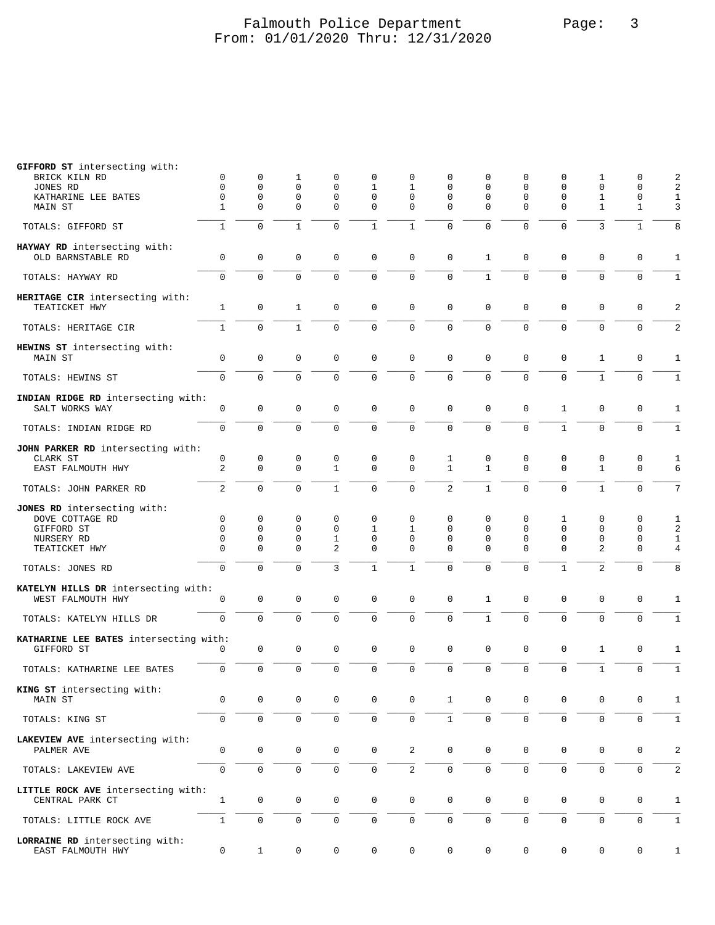### Falmouth Police Department Page: 3 From: 01/01/2020 Thru: 12/31/2020

| GIFFORD ST intersecting with:<br>BRICK KILN RD           | 0                | 0                | 1                          | 0                 | 0                   | 0                   | 0                 | 0                 | 0              | 0                | 1                           | 0                 | 2                 |
|----------------------------------------------------------|------------------|------------------|----------------------------|-------------------|---------------------|---------------------|-------------------|-------------------|----------------|------------------|-----------------------------|-------------------|-------------------|
| JONES RD                                                 | $\mathbf 0$      | $\mathbf 0$      | $\mathbf 0$                | $\mathbf 0$       | $\mathbf{1}$        | $\mathbf{1}$        | $\mathbf 0$       | $\mathbf 0$       | 0              | 0                | $\mathbf 0$                 | 0                 | $\overline{c}$    |
| KATHARINE LEE BATES                                      | $\mathbf 0$      | $\mathbf 0$      | $\mathbf 0$                | $\mathbf 0$       | $\mathbf 0$         | $\mathbf 0$         | $\Omega$          | $\mathbf 0$       | 0              | $\mathbf 0$      | 1                           | 0                 | 1                 |
| MAIN ST                                                  | $\mathbf{1}$     | $\mathbf 0$      | $\mathbf 0$                | 0                 | $\mathbf 0$         | 0                   | $\Omega$          | $\Omega$          | $\Omega$       | 0                | $\mathbf{1}$                | 1                 | 3                 |
| TOTALS: GIFFORD ST                                       | $\mathbf{1}$     | $\mathbf 0$      | $\mathbf{1}$               | 0                 | $\mathbf{1}$        | $\mathbf{1}$        | 0                 | 0                 | $\Omega$       | 0                | 3                           | $\mathbf{1}$      | 8                 |
| HAYWAY RD intersecting with:<br>OLD BARNSTABLE RD        | $\mathsf 0$      | $\mathbf 0$      | $\mathbf 0$                | $\mathbf 0$       | $\mathbf 0$         | $\mathbf 0$         | $\mathbf 0$       | $\mathbf{1}$      | 0              | $\mathbf 0$      | $\mathbf 0$                 | 0                 | $\mathbf{1}$      |
| TOTALS: HAYWAY RD                                        | $\mathbf 0$      | $\mathbf 0$      | $\mathbf 0$                | $\mathbf 0$       | $\mathbf 0$         | $\mathbf 0$         | $\mathbf 0$       | $\mathbf{1}$      | 0              | $\mathbf 0$      | 0                           | $\mathbf 0$       | $\mathbf{1}$      |
| HERITAGE CIR intersecting with:                          |                  |                  |                            |                   |                     |                     |                   |                   |                |                  |                             |                   |                   |
| TEATICKET HWY                                            | 1                | $\mathsf 0$      | 1                          | $\mathbf 0$       | $\mathbf 0$         | $\mathbf 0$         | $\mathbf 0$       | $\mathbf{0}$      | 0              | $\mathbf 0$      | $\mathbf 0$                 | $\mathsf 0$       | 2                 |
| TOTALS: HERITAGE CIR                                     | $\mathbf{1}$     | $\mathbf 0$      | $\mathbf{1}$               | $\Omega$          | $\mathbf 0$         | $\mathbf 0$         | $\mathbf 0$       | 0                 | 0              | $\mathbf 0$      | $\Omega$                    | $\mathbf 0$       | 2                 |
| HEWINS ST intersecting with:<br>MAIN ST                  | $\mathbf 0$      | $\mathsf 0$      | $\mathbf 0$                | 0                 | $\mathsf 0$         | 0                   | $\mathbf 0$       | $\mathbf{0}$      | 0              | 0                | 1                           | 0                 | $\mathbf{1}$      |
| TOTALS: HEWINS ST                                        | $\mathbf 0$      | $\Omega$         | $\Omega$                   | $\Omega$          | $\mathbf 0$         | $\mathbf 0$         | $\Omega$          | $\Omega$          | $\Omega$       | $\mathbf 0$      | $\mathbf{1}$                | $\mathbf 0$       | $\mathbf{1}$      |
| INDIAN RIDGE RD intersecting with:<br>SALT WORKS WAY     | $\mathbf 0$      | $\mathbf 0$      | $\mathbf 0$                | $\mathbf 0$       | $\mathsf 0$         | $\mathbf{0}$        | $\mathbf 0$       | $\mathbf 0$       | 0              | $\mathbf{1}$     | $\mathbf 0$                 | 0                 | $\mathbf 1$       |
| TOTALS: INDIAN RIDGE RD                                  | $\mathbf 0$      | $\mathbf 0$      | $\mathbf 0$                | $\mathbf 0$       | $\mathsf 0$         | $\mathsf{O}\xspace$ | $\mathbf 0$       | 0                 | 0              | $\mathbf{1}$     | $\mathbf 0$                 | $\mathbf{0}$      | $\mathbf{1}$      |
| JOHN PARKER RD intersecting with:                        |                  |                  |                            |                   |                     |                     |                   |                   |                |                  |                             |                   |                   |
| CLARK ST<br>EAST FALMOUTH HWY                            | $\mathsf 0$<br>2 | 0<br>$\mathbf 0$ | $\mathbf 0$<br>$\mathbf 0$ | 0<br>$\mathbf{1}$ | 0<br>$\mathbf 0$    | 0<br>$\mathbf 0$    | 1<br>$\mathbf{1}$ | 0<br>$\mathbf{1}$ | 0<br>0         | 0<br>$\mathbf 0$ | $\mathsf 0$<br>$\mathbf{1}$ | 0<br>$\mathbf{0}$ | $\mathbf{1}$<br>6 |
| TOTALS: JOHN PARKER RD                                   | 2                | $\Omega$         | $\Omega$                   | $\mathbf{1}$      | $\mathbf 0$         | $\mathbf{0}$        | 2                 | $\mathbf{1}$      | $\Omega$       | $\Omega$         | $\mathbf{1}$                | $\mathbf 0$       | 7                 |
| JONES RD intersecting with:                              |                  |                  |                            |                   |                     |                     |                   |                   |                |                  |                             |                   |                   |
| DOVE COTTAGE RD                                          | 0<br>$\mathbf 0$ | 0<br>$\mathbf 0$ | 0<br>$\mathbf 0$           | 0<br>$\mathbf 0$  | $\mathbf 0$         | 0                   | 0                 | 0<br>$\mathbf 0$  | 0<br>0         | 1<br>0           | 0                           | 0<br>0            | 1                 |
| GIFFORD ST                                               | $\mathbf 0$      | 0                | $\mathbf 0$                | 1                 | 1<br>$\mathbf 0$    | 1<br>0              | 0<br>0            | $\mathbf 0$       | 0              | 0                | 0<br>$\mathsf 0$            | $\mathsf 0$       | 2<br>1            |
| NURSERY RD<br>TEATICKET HWY                              | $\mathbf 0$      | $\Omega$         | $\Omega$                   | $\overline{2}$    | $\mathbf 0$         | $\Omega$            | $\Omega$          | $\Omega$          | $\Omega$       | $\Omega$         | 2                           | 0                 | 4                 |
|                                                          |                  |                  |                            |                   |                     |                     |                   |                   |                |                  |                             |                   |                   |
| TOTALS: JONES RD                                         | $\mathbf 0$      | $\mathbf 0$      | $\mathbf 0$                | 3                 | $\mathbf{1}$        | $\mathbf{1}$        | $\mathbf 0$       | $\mathbf 0$       | 0              | $\mathbf{1}$     | $\overline{a}$              | 0                 | 8                 |
| KATELYN HILLS DR intersecting with:<br>WEST FALMOUTH HWY | $\mathbf 0$      | 0                | $\mathbf 0$                | $\mathsf 0$       | $\mathsf{O}\xspace$ | $\mathsf{O}\xspace$ | $\mathbf 0$       | 1                 | 0              | $\mathbf 0$      | $\mathsf 0$                 | $\mathsf 0$       | $\mathbf{1}$      |
| TOTALS: KATELYN HILLS DR                                 | $\mathbf 0$      | $\mathbf 0$      | $\mathbf 0$                | 0                 | $\mathbf 0$         | $\mathbf 0$         | $\mathbf 0$       | $\mathbf{1}$      | $\overline{0}$ | $\mathbf 0$      | 0                           | $\overline{0}$    | $\mathbf{1}$      |
| KATHARINE LEE BATES intersecting with:                   |                  |                  |                            |                   |                     |                     |                   |                   |                |                  |                             |                   |                   |
| GIFFORD ST                                               | 0                | $\mathbf 0$      | $\mathbf 0$                | $\mathbf 0$       | $\mathbf 0$         | $\mathsf{O}\xspace$ | $\mathbf 0$       | $\mathbf 0$       | $\mathbf 0$    | $\mathbf 0$      | $\mathbf{1}$                | $\mathbf{0}$      | $\mathbf 1$       |
| TOTALS: KATHARINE LEE BATES                              | $\mathsf 0$      | $\mathbf 0$      | $\mathbf 0$                | $\mathbf 0$       | $\mathsf{O}\xspace$ | $\mathbf 0$         | $\mathbf 0$       | 0                 | 0              | $\mathbf 0$      | $\mathbf{1}$                | $\mathbf 0$       | $\mathbf{1}$      |
| KING ST intersecting with:<br>MAIN ST                    | $\mathbf 0$      | $\mathbf 0$      | $\mathbf 0$                | 0                 | $\mathbf 0$         | 0                   | 1                 | $\mathbf 0$       | 0              | 0                | $\mathbf 0$                 | 0                 | 1                 |
| TOTALS: KING ST                                          | $\mathbf 0$      | $\mathbf 0$      | $\mathsf{O}\xspace$        | 0                 | $\mathsf 0$         | $\mathsf{O}\xspace$ | $\mathbf{1}$      | 0                 | $\mathbf 0$    | $\mathbf 0$      | $\mathbf 0$                 | $\mathbf 0$       | $\mathbf{1}$      |
| LAKEVIEW AVE intersecting with:                          |                  |                  |                            |                   |                     |                     |                   |                   |                |                  |                             |                   |                   |
| PALMER AVE                                               | $\mathbf 0$      | 0                | $\mathbf 0$                | 0                 | $\mathbf 0$         | $\mathbf{2}$        | $\mathbf 0$       | $\mathbf 0$       | 0              | 0                | 0                           | 0                 | 2                 |
| TOTALS: LAKEVIEW AVE                                     | $\mathbf 0$      | $\mathbf 0$      | $\mathbf 0$                | 0                 | $\mathbf 0$         | $\mathbf{2}$        | $\mathbf 0$       | $\mathsf{O}$      | 0              | $\mathbf 0$      | $\mathbf 0$                 | 0                 | 2                 |
| LITTLE ROCK AVE intersecting with:<br>CENTRAL PARK CT    | $\mathbf{1}$     | 0                | $\mathbf 0$                | $\mathbf 0$       | $\mathbf 0$         | $\mathbf 0$         | $\mathbf 0$       | $\mathbf 0$       | $\mathbf 0$    | $\mathbf 0$      | $\mathbf 0$                 | $\mathsf 0$       | $\mathbf{1}$      |
| TOTALS: LITTLE ROCK AVE                                  | $\mathbf{1}$     | $\mathbf 0$      | $\mathbf 0$                | 0                 | $\mathsf{O}\xspace$ | $\mathsf{O}\xspace$ | $\mathbf 0$       | $\mathbf 0$       | $\mathbf 0$    | $\mathbf 0$      | 0                           | 0                 | $\mathbf{1}$      |
| LORRAINE RD intersecting with:<br>EAST FALMOUTH HWY      | $\mathsf{O}$     | $\mathbf{1}$     | 0                          | 0                 | 0                   | $\mathbb O$         | 0                 | 0                 | $\mathsf{O}$   | 0                | 0                           | $\mathsf{O}$      | 1                 |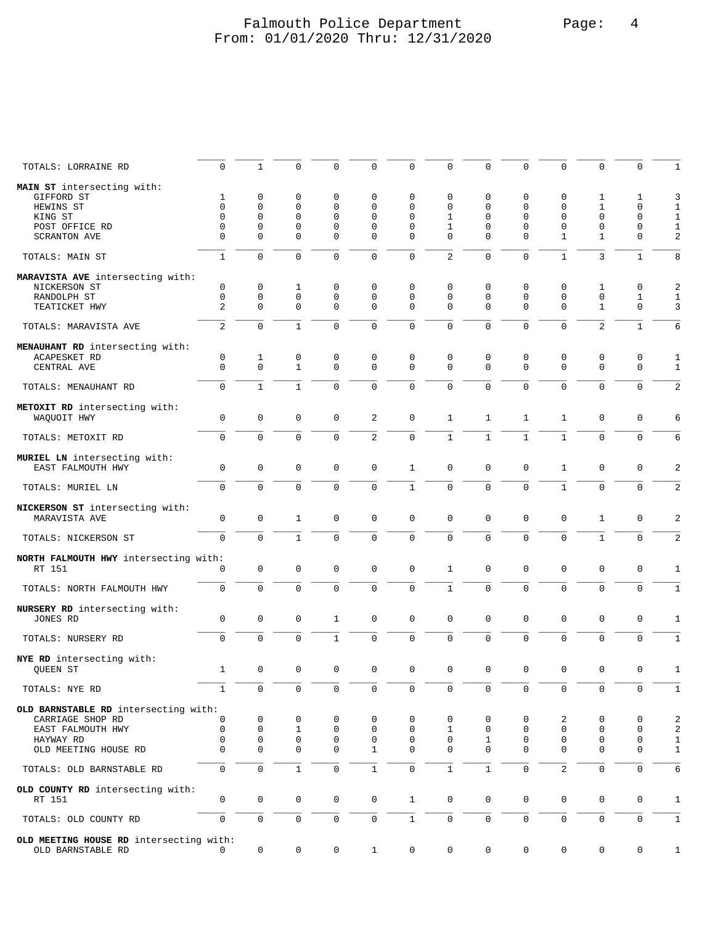### Falmouth Police Department Page: 4 From: 01/01/2020 Thru: 12/31/2020

| TOTALS: LORRAINE RD                                          | 0                | $\mathbf{1}$     | 0                | 0            | 0                | $\mathbf 0$                | 0              | 0                | $\mathbf 0$  | 0              | 0                          | 0                          | $\mathbf{1}$   |
|--------------------------------------------------------------|------------------|------------------|------------------|--------------|------------------|----------------------------|----------------|------------------|--------------|----------------|----------------------------|----------------------------|----------------|
| MAIN ST intersecting with:                                   |                  |                  |                  |              |                  |                            |                |                  |              |                |                            |                            |                |
| GIFFORD ST                                                   | 1                | 0                | 0                | 0            | 0                | 0                          | 0              | 0                | 0            | 0              | 1                          | 1                          | 3              |
| HEWINS ST                                                    | $\mathbf 0$      | $\mathbf 0$      | 0                | $\mathbf 0$  | 0                | $\mathbf 0$                | 0              | $\mathbf{0}$     | 0            | $\mathbf 0$    | $\mathbf{1}$               | $\mathbf 0$                | 1              |
| KING ST                                                      | $\mathbf 0$      | $\mathbf 0$      | $\Omega$         | $\mathbf 0$  | 0                | $\mathbf 0$                | 1              | $\mathbf{0}$     | $\mathbf 0$  | $\mathbf 0$    | $\mathbf 0$                | $\mathbf 0$                | 1              |
| POST OFFICE RD                                               | $\mathbf 0$      | $\mathbf 0$      | 0                | $\mathbf 0$  | 0                | $\mathbf 0$                | 1              | $\mathbf 0$      | 0            | $\mathbf 0$    | $\mathbf 0$                | $\mathbf 0$                | $\mathbf{1}$   |
| <b>SCRANTON AVE</b>                                          | $\mathbf 0$      | $\Omega$         | $\Omega$         | $\Omega$     | $\mathbf 0$      | $\Omega$                   | $\Omega$       | $\Omega$         | 0            | $\mathbf{1}$   | 1                          | $\mathbf 0$                | $\overline{c}$ |
| TOTALS: MAIN ST                                              | $\mathbf{1}$     | $\mathbf 0$      | $\Omega$         | $\mathbf 0$  | $\mathbf 0$      | $\mathbf 0$                | $\overline{2}$ | $\mathbf{0}$     | $\mathbf 0$  | $\mathbf 1$    | 3                          | $\mathbf{1}$               | 8              |
| MARAVISTA AVE intersecting with:                             |                  |                  |                  |              |                  |                            |                |                  |              |                |                            |                            |                |
| NICKERSON ST                                                 | $\mathbf 0$      | 0                | 1                | 0            | $\mathbf 0$      | 0                          | 0              | 0                | $\mathbf 0$  | 0              | 1                          | 0                          | $\sqrt{2}$     |
| RANDOLPH ST                                                  | 0                | $\mathsf 0$      | $\mathbf{0}$     | 0            | 0                | $\mathbf 0$                | 0              | $\mathbf{0}$     | $\mathbf 0$  | $\mathsf 0$    | $\mathsf 0$                | 1                          | $\mathbf 1$    |
| TEATICKET HWY                                                | $\overline{c}$   | $\overline{0}$   | $\Omega$         | $\Omega$     | $\mathbf 0$      | $\mathbf 0$                | $\Omega$       | $\Omega$         | $\mathbf 0$  | $\mathbf 0$    | $\mathbf{1}$               | $\mathbf 0$                | 3              |
|                                                              |                  |                  |                  |              |                  |                            |                |                  |              |                |                            |                            |                |
| TOTALS: MARAVISTA AVE                                        | 2                | $\mathbf 0$      | $\mathbf{1}$     | $\mathbf 0$  | $\mathbf 0$      | $\mathbf 0$                | $\Omega$       | $\mathbf{0}$     | $\mathbf 0$  | $\mathbf 0$    | 2                          | $\mathbf{1}$               | 6              |
| MENAUHANT RD intersecting with:                              |                  |                  |                  |              |                  |                            |                |                  |              |                |                            |                            |                |
| ACAPESKET RD                                                 | 0                | 1                | 0                | 0            | 0                | $\mathbf 0$                | 0              | 0                | 0            | 0              | 0                          | 0                          | 1              |
| CENTRAL AVE                                                  | $\mathbf 0$      | $\mathbf 0$      | $\mathbf{1}$     | $\mathbf 0$  | $\mathbf 0$      | $\mathbf 0$                | $\Omega$       | $\mathbf{0}$     | $\mathbf 0$  | $\mathbf 0$    | $\mathbf 0$                | $\mathsf 0$                | 1              |
|                                                              |                  |                  |                  |              |                  |                            |                |                  |              |                |                            |                            |                |
| TOTALS: MENAUHANT RD                                         | $\mathbf 0$      | $\mathbf{1}$     | $\mathbf{1}$     | $\Omega$     | $\Omega$         | $\Omega$                   | $\Omega$       | $\Omega$         | $\Omega$     | $\Omega$       | $\Omega$                   | $\Omega$                   | $\overline{2}$ |
| METOXIT RD intersecting with:                                |                  |                  |                  |              |                  |                            |                |                  |              |                |                            |                            |                |
| WAQUOIT HWY                                                  | 0                | $\mathsf 0$      | $\mathbf 0$      | 0            | 2                | $\mathsf 0$                | $\mathbf{1}$   | 1                | $\mathbf{1}$ | $\mathbf{1}$   | $\mathsf 0$                | $\mathsf 0$                | 6              |
|                                                              |                  |                  |                  |              |                  |                            |                |                  |              |                |                            |                            |                |
| TOTALS: METOXIT RD                                           | $\mathbf 0$      | $\mathbf 0$      | $\mathbf 0$      | $\mathbf 0$  | $\overline{c}$   | $\mathsf 0$                | $\mathbf{1}$   | $\mathbf{1}$     | $\mathbf{1}$ | $\mathbf{1}$   | $\mathbf 0$                | $\mathbf 0$                | 6              |
|                                                              |                  |                  |                  |              |                  |                            |                |                  |              |                |                            |                            |                |
| MURIEL LN intersecting with:<br>EAST FALMOUTH HWY            | $\mathbf 0$      | $\mathbf 0$      | $\mathbf 0$      | $\mathbf 0$  | $\mathsf 0$      | $\mathbf{1}$               | $\mathbf 0$    | $\mathbf 0$      | $\mathbf 0$  | $\mathbf{1}$   | $\mathbf 0$                | $\mathbf 0$                | $\overline{a}$ |
|                                                              |                  |                  |                  |              |                  |                            |                |                  |              |                |                            |                            |                |
| TOTALS: MURIEL LN                                            | $\mathbf 0$      | $\mathbf 0$      | $\mathbf 0$      | $\mathbf 0$  | $\mathbf 0$      | $\mathbf 1$                | $\mathbf 0$    | $\mathbf 0$      | $\mathbf 0$  | $\mathbf{1}$   | $\mathbf 0$                | $\mathbf 0$                | $\overline{2}$ |
|                                                              |                  |                  |                  |              |                  |                            |                |                  |              |                |                            |                            |                |
| NICKERSON ST intersecting with:                              |                  |                  |                  |              |                  |                            |                |                  |              |                |                            |                            |                |
| MARAVISTA AVE                                                | $\mathbf 0$      | 0                | $\mathbf{1}$     | $\mathbf 0$  | $\mathbf 0$      | $\mathbf 0$                | $\mathbf 0$    | $\mathbf 0$      | $\mathbf 0$  | $\mathbf 0$    | 1                          | $\mathsf 0$                | 2              |
| TOTALS: NICKERSON ST                                         | $\mathbf 0$      | $\mathbf 0$      | $\mathbf{1}$     | $\mathbf 0$  | $\mathbf 0$      | $\mathbf 0$                | $\Omega$       | $\Omega$         | $\Omega$     | $\Omega$       | $\mathbf{1}$               | $\mathbf 0$                | $\overline{2}$ |
|                                                              |                  |                  |                  |              |                  |                            |                |                  |              |                |                            |                            |                |
| NORTH FALMOUTH HWY intersecting with:                        |                  |                  |                  |              |                  |                            |                |                  |              |                |                            |                            |                |
| RT 151                                                       | 0                | $\mathsf 0$      | $\mathbf 0$      | 0            | 0                | $\mathbf 0$                | 1              | $\mathbf 0$      | $\mathbf 0$  | $\mathbf 0$    | $\mathbf 0$                | $\mathbf 0$                | 1              |
|                                                              | $\mathbf 0$      | $\overline{0}$   | $\Omega$         | $\mathbf 0$  | 0                | $\mathbf 0$                | $\mathbf{1}$   | $\mathbf 0$      | $\mathbf 0$  | $\mathbf 0$    | $\mathbf 0$                | $\mathsf 0$                | 1              |
| TOTALS: NORTH FALMOUTH HWY                                   |                  |                  |                  |              |                  |                            |                |                  |              |                |                            |                            |                |
| NURSERY RD intersecting with:                                |                  |                  |                  |              |                  |                            |                |                  |              |                |                            |                            |                |
| JONES RD                                                     | 0                | 0                | 0                | 1            | 0                | $\mathsf 0$                | $\mathbf 0$    | $\mathsf 0$      | $\mathsf 0$  | $\mathsf 0$    | $\mathsf 0$                | $\mathsf 0$                | 1              |
|                                                              |                  |                  |                  |              |                  |                            |                |                  |              |                |                            |                            |                |
| TOTALS: NURSERY RD                                           | $\mathbf 0$      | $\Omega$         | $\Omega$         | $\mathbf{1}$ | $\mathbf 0$      | $\overline{0}$             | $\Omega$       | 0                | $\mathbf 0$  | $\mathbf 0$    | $\mathbf 0$                | $\mathbf 0$                | $\mathbf{1}$   |
|                                                              |                  |                  |                  |              |                  |                            |                |                  |              |                |                            |                            |                |
| NYE RD intersecting with:<br><b>OUEEN ST</b>                 | $\mathbf{1}$     | $\mathsf 0$      | $\mathsf 0$      | 0            | $\mathsf 0$      |                            | $\mathsf 0$    | $\mathbf 0$      | $\mathsf 0$  | 0              | $\mathsf 0$                | $\mathsf 0$                |                |
|                                                              |                  |                  |                  |              |                  | $\mathsf 0$                |                |                  |              |                |                            |                            | 1              |
| TOTALS: NYE RD                                               | $\mathbf{1}$     | 0                | $\mathbf 0$      | 0            | 0                | $\mathsf 0$                | 0              | $\mathbf 0$      | $\mathbf 0$  | $\mathsf 0$    | 0                          | 0                          | 1              |
|                                                              |                  |                  |                  |              |                  |                            |                |                  |              |                |                            |                            |                |
| OLD BARNSTABLE RD intersecting with:                         |                  |                  |                  |              |                  |                            |                |                  |              |                |                            |                            |                |
| CARRIAGE SHOP RD                                             | 0                | 0                | $\mathbf 0$      | 0            | $\mathbf 0$      | $\mathbf 0$                | 0              | 0                | 0            | 2              | $\mathbf 0$                | $\mathbf 0$                | $\overline{2}$ |
| EAST FALMOUTH HWY                                            | $\mathbf 0$<br>0 | $\mathbf 0$<br>0 | 1<br>$\mathbf 0$ | 0<br>0       | $\mathbf 0$<br>0 | $\mathbf 0$<br>$\mathbf 0$ | 1<br>0         | $\mathbf 0$<br>1 | 0<br>0       | 0<br>0         | $\mathbf 0$<br>$\mathbf 0$ | $\mathbf 0$<br>$\mathbf 0$ | $\overline{2}$ |
| HAYWAY RD<br>OLD MEETING HOUSE RD                            | $\mathbf 0$      | $\mathbf 0$      | $\mathbf 0$      | $\mathbf 0$  | $\mathbf{1}$     | $\Omega$                   | $\Omega$       | $\Omega$         | $\mathbf 0$  | $\mathbf 0$    | $\mathbf 0$                | $\mathbf 0$                | 1<br>1         |
|                                                              |                  |                  |                  |              |                  |                            |                |                  |              |                |                            |                            |                |
| TOTALS: OLD BARNSTABLE RD                                    | $\mathbf 0$      | $\overline{0}$   | $\mathbf{1}$     | $\mathbf 0$  | $\mathbf{1}$     | $\mathbf 0$                | $\mathbf{1}$   | $\mathbf{1}$     | $\mathbf 0$  | $\overline{2}$ | $\Omega$                   | $\mathbf 0$                | 6              |
|                                                              |                  |                  |                  |              |                  |                            |                |                  |              |                |                            |                            |                |
| OLD COUNTY RD intersecting with:<br>RT 151                   | 0                | $\mathsf 0$      | $\mathbf 0$      | $\mathsf 0$  | 0                | $\mathbf{1}$               | 0              | $\mathbf 0$      | $\mathbf 0$  | $\mathbf 0$    | $\mathbf 0$                | $\mathsf 0$                | 1              |
|                                                              |                  |                  |                  |              |                  |                            |                |                  |              |                |                            |                            |                |
| TOTALS: OLD COUNTY RD                                        | $\mathbf 0$      | 0                | $\mathbf 0$      | 0            | 0                | $\mathbf{1}$               | $\mathbf 0$    | $\mathsf{O}$     | $\mathsf{O}$ | 0              | $\mathbf 0$                | $\mathsf{O}$               | 1              |
|                                                              |                  |                  |                  |              |                  |                            |                |                  |              |                |                            |                            |                |
| OLD MEETING HOUSE RD intersecting with:<br>OLD BARNSTABLE RD | 0                | 0                | 0                | 0            | $\mathbf{1}$     | 0                          | 0              | 0                | 0            | 0              | 0                          | 0                          | 1              |
|                                                              |                  |                  |                  |              |                  |                            |                |                  |              |                |                            |                            |                |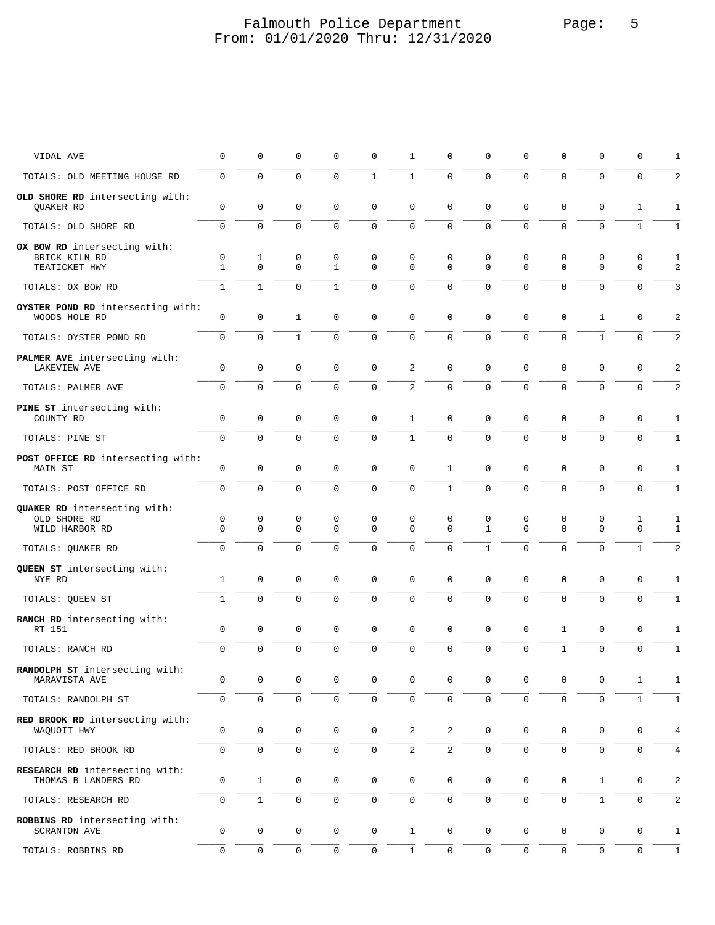### Falmouth Police Department Page: 5 From: 01/01/2020 Thru: 12/31/2020

| VIDAL AVE                                                      | 0                       | 0                          | $\mathbf 0$                        | 0                   | 0                          | 1                          | 0              | 0                   | 0                   | 0                   | 0                       | 0                           | 1                   |
|----------------------------------------------------------------|-------------------------|----------------------------|------------------------------------|---------------------|----------------------------|----------------------------|----------------|---------------------|---------------------|---------------------|-------------------------|-----------------------------|---------------------|
| TOTALS: OLD MEETING HOUSE RD                                   | $\mathbf 0$             | $\mathbf 0$                | $\mathbf 0$                        | $\mathbf 0$         | $\mathbf{1}$               | $\mathbf{1}$               | $\Omega$       | $\Omega$            | $\Omega$            | $\mathbf 0$         | $\mathbf 0$             | $\mathbf 0$                 | 2                   |
| OLD SHORE RD intersecting with:<br>QUAKER RD                   | $\mathbf 0$             | $\mathbf 0$                | $\mathbf 0$                        | $\mathbf 0$         | $\mathsf 0$                | $\mathbf 0$                | $\mathbf 0$    | $\mathbf 0$         | 0                   | $\mathbf 0$         | $\mathbf 0$             | $\mathbf{1}$                | $\mathbf{1}$        |
| TOTALS: OLD SHORE RD                                           | $\mathsf 0$             | $\mathbf 0$                | $\mathbf 0$                        | $\mathbf 0$         | $\mathsf 0$                | $\mathsf 0$                | $\mathbf 0$    | 0                   | $\mathbf 0$         | $\mathbf 0$         | $\mathbf 0$             | $\mathbf{1}$                | $\mathbf{1}$        |
| OX BOW RD intersecting with:<br>BRICK KILN RD<br>TEATICKET HWY | 0<br>$\mathbf{1}$       | 1<br>$\Omega$              | 0<br>$\mathbf 0$                   | 0<br>$\mathbf{1}$   | 0<br>$\mathbf 0$           | 0<br>$\mathbf 0$           | 0<br>$\Omega$  | 0<br>$\Omega$       | 0<br>0              | 0<br>$\Omega$       | $\mathbf 0$<br>$\Omega$ | 0<br>$\mathbf 0$            | 1<br>$\overline{c}$ |
| TOTALS: OX BOW RD                                              | $\mathbf{1}$            | $\mathbf{1}$               | $\mathbf 0$                        | 1                   | $\mathbf 0$                | $\mathbf 0$                | $\mathbf 0$    | 0                   | 0                   | 0                   | 0                       | 0                           | 3                   |
| OYSTER POND RD intersecting with:<br>WOODS HOLE RD             | $\mathbf 0$             | $\mathbf 0$                | $\mathbf{1}$                       | $\mathbf 0$         | $\mathbf 0$                | $\mathbf 0$                | $\mathbf 0$    | $\mathbf 0$         | 0                   | $\mathbf 0$         | $\mathbf{1}$            | 0                           | 2                   |
| TOTALS: OYSTER POND RD                                         | $\mathbf 0$             | $\mathbf 0$                | $\mathbf{1}$                       | $\mathbf 0$         | $\mathbf 0$                | $\mathbf 0$                | $\mathbf 0$    | 0                   | 0                   | $\mathbf 0$         | $\mathbf{1}$            | $\mathbf 0$                 | 2                   |
| PALMER AVE intersecting with:<br>LAKEVIEW AVE                  | $\mathbf 0$             | $\mathsf 0$                | $\mathbf 0$                        | 0                   | $\mathbf 0$                | 2                          | $\mathbf 0$    | $\mathbf 0$         | 0                   | $\mathbf 0$         | $\mathsf 0$             | $\mathsf 0$                 | 2                   |
| TOTALS: PALMER AVE                                             | $\mathbf 0$             | $\mathbf 0$                | $\mathbf 0$                        | $\mathbf 0$         | $\mathbf 0$                | $\overline{a}$             | $\Omega$       | $\Omega$            | $\Omega$            | $\mathbf 0$         | $\Omega$                | $\mathbf 0$                 | 2                   |
| PINE ST intersecting with:<br>COUNTY RD                        | $\mathbf 0$             | $\mathsf 0$                | $\mathbf 0$                        | 0                   | $\mathsf 0$                | $\mathbf{1}$               | 0              | $\mathbf 0$         | 0                   | 0                   | $\mathsf 0$             | 0                           | 1                   |
| TOTALS: PINE ST                                                | $\mathbf 0$             | $\mathbf 0$                | $\mathbf 0$                        | $\mathbf 0$         | $\mathsf 0$                | $\mathbf{1}$               | $\mathbf 0$    | 0                   | $\mathbf 0$         | $\mathbf 0$         | $\mathbf 0$             | $\mathsf 0$                 | $\mathbf{1}$        |
| POST OFFICE RD intersecting with:<br>MAIN ST                   | $\mathbf 0$             | $\mathsf 0$                | $\mathbf 0$                        | $\mathsf 0$         | $\mathbb O$                | $\mathsf{O}\xspace$        | $\mathbf{1}$   | $\mathbf 0$         | $\mathbf 0$         | $\mathsf 0$         | $\mathsf 0$             | $\mathsf 0$                 | $\mathbf{1}$        |
| TOTALS: POST OFFICE RD                                         | $\mathbf 0$             | $\mathbf 0$                | $\mathbf 0$                        | 0                   | $\mathbf 0$                | $\mathbf 0$                | $\mathbf{1}$   | 0                   | 0                   | 0                   | 0                       | 0                           | $\mathbf{1}$        |
| QUAKER RD intersecting with:<br>OLD SHORE RD<br>WILD HARBOR RD | $\mathbf 0$<br>$\Omega$ | $\mathsf 0$<br>$\mathbf 0$ | $\mathsf{O}\xspace$<br>$\mathbf 0$ | 0<br>$\mathbf 0$    | $\mathsf 0$<br>$\mathbf 0$ | $\mathsf 0$<br>$\mathbf 0$ | 0<br>$\Omega$  | 0<br>$\mathbf{1}$   | 0<br>$\Omega$       | 0<br>$\mathbf 0$    | 0<br>$\Omega$           | $\mathbf 1$<br>$\mathbf{0}$ | $1\,$<br>1          |
| TOTALS: QUAKER RD                                              | $\mathbf 0$             | $\mathbf 0$                | $\mathbf 0$                        | $\mathbf 0$         | $\mathbf 0$                | $\mathbf 0$                | $\mathbf 0$    | $\mathbf{1}$        | 0                   | $\mathbf 0$         | $\mathbf 0$             | $\mathbf{1}$                | 2                   |
| QUEEN ST intersecting with:<br>NYE RD                          | $\mathbf{1}$            | $\mathsf 0$                | $\mathbf 0$                        | 0                   | $\mathsf 0$                | $\mathbf 0$                | $\mathbf 0$    | $\mathbf 0$         | 0                   | 0                   | $\mathbf 0$             | $\mathsf 0$                 | 1                   |
| TOTALS: QUEEN ST                                               | $\mathbf{1}$            | $\mathbf 0$                | $\mathbf 0$                        | $\mathbf 0$         | $\mathbf 0$                | $\mathbf{0}$               | $\Omega$       | $\mathbf 0$         | 0                   | $\mathbf 0$         | $\mathbf 0$             | $\mathbf{0}$                | $\mathbf{1}$        |
| RANCH RD intersecting with:<br>RT 151                          | $\mathbf 0$             | $\mathbf 0$                | $\mathbf 0$                        | $\mathsf 0$         | $\mathbf 0$                | $\mathbf 0$                | $\mathbf 0$    | 0                   | 0                   | $\mathbf{1}$        | $\mathsf 0$             | 0                           | 1                   |
| TOTALS: RANCH RD                                               | $\mathsf 0$             | $\mathbf 0$                | $\mathbf 0$                        | $\mathbf 0$         | $\mathsf{O}\xspace$        | $\mathsf 0$                | $\mathbf 0$    | 0                   | $\mathbf 0$         | $\mathbf{1}$        | $\mathbf 0$             | 0                           | $\mathbf{1}$        |
| RANDOLPH ST intersecting with:<br>MARAVISTA AVE                | $\mathbf 0$             | $\mathsf 0$                | 0                                  | 0                   | 0                          | $\mathsf 0$                | 0              | 0                   | 0                   | 0                   | 0                       | $\mathbf{1}$                | $\mathbf{1}$        |
| TOTALS: RANDOLPH ST                                            | $\mathsf{O}\xspace$     | $\mathbf 0$                | $\mathsf{O}\xspace$                | 0                   | $\mathsf 0$                | $\mathsf 0$                | $\mathsf 0$    | $\mathsf{O}\xspace$ | $\mathsf{O}\xspace$ | $\mathsf 0$         | $\mathsf{O}\xspace$     | $1\,$                       | $1\,$               |
| RED BROOK RD intersecting with:<br>WAQUOIT HWY                 | $\mathbf 0$             | $\mathbf 0$                | $\mathsf{O}\xspace$                | $\mathbf 0$         | $\mathsf 0$                | 2                          | 2              | $\mathbf 0$         | $\mathbf 0$         | $\mathsf{O}\xspace$ | $\mathsf{O}$            | $\mathbf 0$                 | 4                   |
| TOTALS: RED BROOK RD                                           | $\mathbf 0$             | $\mathbf 0$                | $\mathbf 0$                        | 0                   | $\mathsf 0$                | $\mathbf{2}$               | $\overline{2}$ | $\mathbf 0$         | $\mathbf 0$         | $\mathbf 0$         | $\mathbf 0$             | $\mathbf 0$                 | 4                   |
| RESEARCH RD intersecting with:<br>THOMAS B LANDERS RD          | $\mathbf 0$             | $\mathbf{1}$               | $\mathbf 0$                        | $\mathbf 0$         | $\mathsf 0$                | $\mathbf 0$                | $\mathbf 0$    | $\mathbf 0$         | $\mathbf 0$         | $\mathbf 0$         | $\mathbf{1}$            | $\mathbf 0$                 | 2                   |
| TOTALS: RESEARCH RD                                            | $\mathsf{O}\xspace$     | $\mathbf{1}$               | $\mathsf 0$                        | $\mathsf 0$         | $\mathsf 0$                | $\mathsf{O}\xspace$        | $\mathbf 0$    | 0                   | 0                   | 0                   | $\mathbf{1}$            | 0                           | 2                   |
| ROBBINS RD intersecting with:<br>SCRANTON AVE                  | $\mathbf 0$             | 0                          | $\mathbf 0$                        | $\mathbf 0$         | $\mathbf 0$                | $\mathbf{1}$               | $\mathbf 0$    | $\mathbf 0$         | 0                   | $\mathbf 0$         | $\mathbf 0$             | $\mathsf 0$                 | $\mathbf{1}$        |
| TOTALS: ROBBINS RD                                             | $\mathsf{O}\xspace$     | $\mathsf{O}\xspace$        | $\mathsf 0$                        | $\mathsf{O}\xspace$ | $\mathsf 0$                | $\mathbf 1$                | $\mathsf 0$    | $\mathsf 0$         | $\mathsf 0$         | $\mathsf 0$         | $\mathbf 0$             | $\mathsf 0$                 | $\mathbf{1}$        |
|                                                                |                         |                            |                                    |                     |                            |                            |                |                     |                     |                     |                         |                             |                     |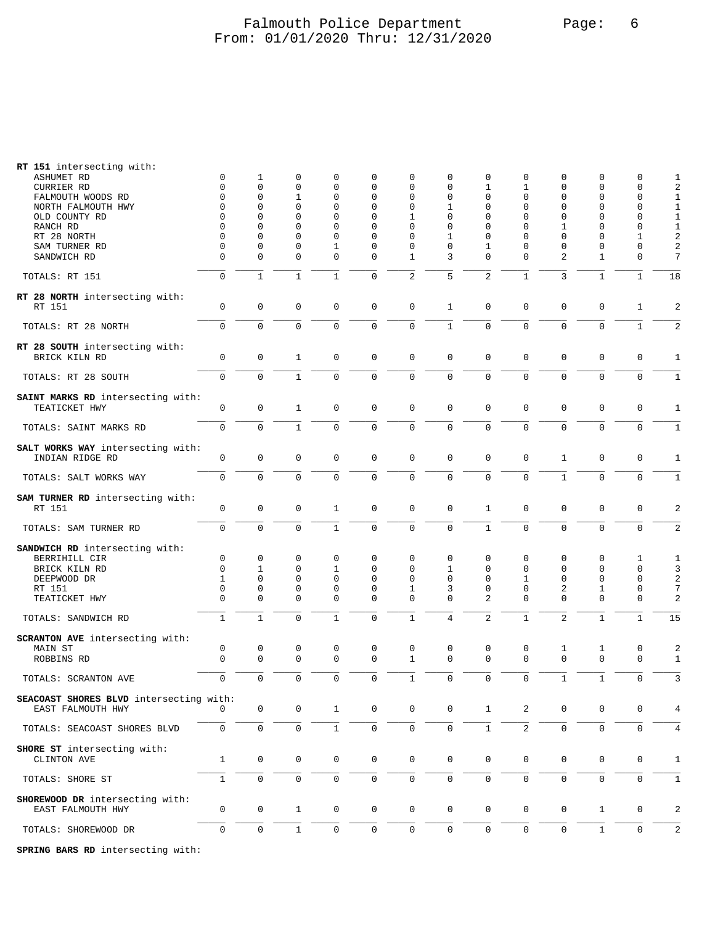## Falmouth Police Department Falmouth Police Department From: 01/01/2020 Thru: 12/31/2020

| RT 151 intersecting with:<br><b>ASHUMET RD</b><br>CURRIER RD<br>FALMOUTH WOODS RD<br>NORTH FALMOUTH HWY<br>OLD COUNTY RD<br>RANCH RD<br>RT 28 NORTH<br>SAM TURNER RD<br>SANDWICH RD | 0<br>$\mathbf 0$<br>0<br>0<br>$\Omega$<br>$\Omega$<br>0<br>0<br>$\mathbf 0$ | 1<br>$\mathbf 0$<br>$\mathbf 0$<br>0<br>0<br>$\mathbf 0$<br>0<br>$\mathbf 0$<br>$\mathbf 0$ | 0<br>$\mathbf{0}$<br>$\mathbf{1}$<br>$\mathbf{0}$<br>0<br>$\mathbf{0}$<br>0<br>0<br>$\mathbf{0}$ | 0<br>0<br>0<br>0<br>0<br>0<br>0<br>1<br>0 | 0<br>$\mathbf 0$<br>$\mathbf 0$<br>$\mathbf 0$<br>0<br>$\mathbf 0$<br>0<br>$\mathbf 0$<br>$\mathbf 0$ | 0<br>$\mathbf 0$<br>$\mathbf 0$<br>0<br>1<br>$\mathbf 0$<br>$\mathbf 0$<br>$\mathbf 0$<br>$\mathbf{1}$ | 0<br>$\mathbf 0$<br>$\mathbf 0$<br>1<br>$\mathbf 0$<br>$\mathbf 0$<br>1<br>0<br>3 | 0<br>$\mathbf{1}$<br>0<br>$\mathbf 0$<br>$\mathbf 0$<br>$\mathbf 0$<br>$\mathbf 0$<br>1<br>$\mathbf 0$ | 0<br>1<br>$\mathbf 0$<br>$\mathbf 0$<br>$\mathbf 0$<br>$\mathbf 0$<br>$\Omega$<br>0<br>$\mathbf 0$ | 0<br>0<br>0<br>0<br>0<br>1<br>0<br>$\mathbf 0$<br>2 | 0<br>$\mathbf 0$<br>$\mathbf 0$<br>$\mathbf 0$<br>0<br>$\mathbf 0$<br>$\mathbf 0$<br>$\mathbf 0$<br>$\mathbf{1}$ | 0<br>$\mathbf{0}$<br>$\mathbf{0}$<br>$\mathbf 0$<br>$\mathbf 0$<br>$\mathbf 0$<br>1<br>$\Omega$<br>$\mathbf{0}$ | 1<br>$\sqrt{2}$<br>$\mathbf{1}$<br>$\mathbf 1$<br>$\mathbf{1}$<br>$\mathbf 1$<br>$\sqrt{2}$<br>$\overline{2}$<br>$\overline{7}$ |
|-------------------------------------------------------------------------------------------------------------------------------------------------------------------------------------|-----------------------------------------------------------------------------|---------------------------------------------------------------------------------------------|--------------------------------------------------------------------------------------------------|-------------------------------------------|-------------------------------------------------------------------------------------------------------|--------------------------------------------------------------------------------------------------------|-----------------------------------------------------------------------------------|--------------------------------------------------------------------------------------------------------|----------------------------------------------------------------------------------------------------|-----------------------------------------------------|------------------------------------------------------------------------------------------------------------------|-----------------------------------------------------------------------------------------------------------------|---------------------------------------------------------------------------------------------------------------------------------|
| TOTALS: RT 151                                                                                                                                                                      | $\mathbf 0$                                                                 | $1\,$                                                                                       | $\mathbf{1}$                                                                                     | $\mathbf{1}$                              | $\mathsf{O}\xspace$                                                                                   | $\overline{2}$                                                                                         | 5                                                                                 | $\overline{c}$                                                                                         | $\mathbf 1$                                                                                        | 3                                                   | $\mathbf{1}$                                                                                                     | $\mathbf 1$                                                                                                     | 18                                                                                                                              |
| RT 28 NORTH intersecting with:<br>RT 151                                                                                                                                            | $\mathbf 0$                                                                 | $\mathbf 0$                                                                                 | $\mathbf 0$                                                                                      | 0                                         | $\mathbf 0$                                                                                           | $\mathbf 0$                                                                                            | $\mathbf{1}$                                                                      | $\mathbf 0$                                                                                            | $\mathbf 0$                                                                                        | $\mathbf 0$                                         | $\mathbf 0$                                                                                                      | $\mathbf{1}$                                                                                                    | $\overline{2}$                                                                                                                  |
| TOTALS: RT 28 NORTH                                                                                                                                                                 | $\mathbf 0$                                                                 | $\mathbf 0$                                                                                 | $\mathbf 0$                                                                                      | $\mathbf 0$                               | $\mathbf 0$                                                                                           | $\mathbf 0$                                                                                            | $\mathbf{1}$                                                                      | $\mathbf 0$                                                                                            | $\mathbf 0$                                                                                        | $\mathbf 0$                                         | $\mathbf 0$                                                                                                      | $\mathbf{1}$                                                                                                    | $\overline{2}$                                                                                                                  |
| RT 28 SOUTH intersecting with:<br>BRICK KILN RD                                                                                                                                     | 0                                                                           | $\mathbf 0$                                                                                 | 1                                                                                                | 0                                         | $\mathbf 0$                                                                                           | $\mathbf 0$                                                                                            | $\mathbf 0$                                                                       | 0                                                                                                      | $\mathbf 0$                                                                                        | $\mathbf 0$                                         | 0                                                                                                                | 0                                                                                                               | 1                                                                                                                               |
| TOTALS: RT 28 SOUTH                                                                                                                                                                 | $\mathbf 0$                                                                 | $\mathbf 0$                                                                                 | $\mathbf{1}$                                                                                     | 0                                         | $\mathbf{0}$                                                                                          | $\mathbf 0$                                                                                            | $\mathbf 0$                                                                       | $\mathbf 0$                                                                                            | $\mathbf 0$                                                                                        | $\mathbf 0$                                         | $\mathbf 0$                                                                                                      | $\mathbf{0}$                                                                                                    | $\mathbf{1}$                                                                                                                    |
| SAINT MARKS RD intersecting with:<br>TEATICKET HWY                                                                                                                                  | $\mathbf 0$                                                                 | $\mathbf 0$                                                                                 | 1                                                                                                | $\mathsf 0$                               | $\mathsf 0$                                                                                           | $\mathsf 0$                                                                                            | $\mathbf 0$                                                                       | $\mathbf 0$                                                                                            | $\mathbf 0$                                                                                        | $\mathbf 0$                                         | $\mathbf{0}$                                                                                                     | $\mathbf{0}$                                                                                                    | 1                                                                                                                               |
| TOTALS: SAINT MARKS RD                                                                                                                                                              | $\mathbf 0$                                                                 | $\mathsf 0$                                                                                 | $\mathbf{1}$                                                                                     | 0                                         | $\mathsf 0$                                                                                           | $\mathsf 0$                                                                                            | $\mathsf 0$                                                                       | $\mathsf{O}\xspace$                                                                                    | $\mathsf 0$                                                                                        | $\mathsf{O}\xspace$                                 | $\mathbf 0$                                                                                                      | $\mathbf 0$                                                                                                     | $\mathbf{1}$                                                                                                                    |
| SALT WORKS WAY intersecting with:<br>INDIAN RIDGE RD                                                                                                                                | $\mathbf 0$                                                                 | $\mathbf 0$                                                                                 | $\mathbf 0$                                                                                      | $\mathbf 0$                               | $\mathbf 0$                                                                                           | $\mathbb O$                                                                                            | $\mathbf 0$                                                                       | $\mathbf 0$                                                                                            | $\mathbf 0$                                                                                        | $\mathbf{1}$                                        | 0                                                                                                                | 0                                                                                                               | $\mathbf 1$                                                                                                                     |
| TOTALS: SALT WORKS WAY                                                                                                                                                              | $\mathbf 0$                                                                 | $\mathbf{0}$                                                                                | $\mathbf 0$                                                                                      | 0                                         | $\mathbf 0$                                                                                           | $\mathbf 0$                                                                                            | $\mathbf 0$                                                                       | $\mathbf 0$                                                                                            | $\mathbf 0$                                                                                        | $\mathbf{1}$                                        | $\mathbf{0}$                                                                                                     | $\mathbf 0$                                                                                                     | $\mathbf{1}$                                                                                                                    |
| SAM TURNER RD intersecting with:<br>RT 151                                                                                                                                          | $\mathbf 0$                                                                 | $\mathbf 0$                                                                                 | $\mathbf 0$                                                                                      | $\mathbf{1}$                              | $\mathbf 0$                                                                                           | $\mathbf 0$                                                                                            | $\mathbf 0$                                                                       | $\mathbf{1}$                                                                                           | $\mathbf 0$                                                                                        | $\mathbf 0$                                         | $\mathbf 0$                                                                                                      | $\mathsf 0$                                                                                                     | $\overline{2}$                                                                                                                  |
| TOTALS: SAM TURNER RD                                                                                                                                                               | $\mathbf 0$                                                                 | $\mathbf 0$                                                                                 | $\mathbf 0$                                                                                      | $\mathbf{1}$                              | $\mathbf 0$                                                                                           | $\mathsf{O}\xspace$                                                                                    | $\mathsf 0$                                                                       | $\mathbf{1}$                                                                                           | $\mathbf 0$                                                                                        | $\mathbf 0$                                         | $\mathbf 0$                                                                                                      | $\mathbf 0$                                                                                                     | $\sqrt{2}$                                                                                                                      |
| SANDWICH RD intersecting with:<br>BERRIHILL CIR<br>BRICK KILN RD<br>DEEPWOOD DR<br>RT 151<br>TEATICKET HWY                                                                          | 0<br>$\mathbf 0$<br>1<br>$\mathbf 0$<br>$\mathbf 0$                         | 0<br>$\mathbf{1}$<br>$\mathbf 0$<br>0<br>$\mathbf 0$                                        | 0<br>$\mathbf 0$<br>$\mathbf 0$<br>0<br>$\mathbf 0$                                              | 0<br>1<br>0<br>0<br>$\mathbf 0$           | 0<br>$\mathbf 0$<br>$\mathbf 0$<br>0<br>$\mathbf 0$                                                   | 0<br>$\mathbf 0$<br>$\mathbf 0$<br>1<br>$\mathbf 0$                                                    | 0<br>1<br>$\mathbf 0$<br>3<br>$\mathbf 0$                                         | 0<br>$\mathbf 0$<br>$\mathbf 0$<br>$\mathbf 0$<br>2                                                    | 0<br>$\mathbf 0$<br>1<br>$\mathbf 0$<br>$\mathbf 0$                                                | 0<br>0<br>0<br>2<br>$\mathbf 0$                     | 0<br>$\mathbf{0}$<br>$\mathbf 0$<br>1<br>$\mathbf{0}$                                                            | 1<br>$\mathbf 0$<br>$\mathbf{0}$<br>0<br>$\mathbf{0}$                                                           | 1<br>3<br>$\overline{2}$<br>7<br>$\overline{2}$                                                                                 |
| TOTALS: SANDWICH RD                                                                                                                                                                 | $\mathbf{1}$                                                                | $1\,$                                                                                       | $\mathbf 0$                                                                                      | $\mathbf{1}$                              | $\mathsf{O}\xspace$                                                                                   | $\,1\,$                                                                                                | $\sqrt{4}$                                                                        | $\overline{\mathbf{c}}$                                                                                | $\mathbf{1}$                                                                                       | $\overline{2}$                                      | $1\,$                                                                                                            | $\mathbf{1}$                                                                                                    | 15                                                                                                                              |
| SCRANTON AVE intersecting with:<br>MAIN ST<br>ROBBINS RD                                                                                                                            | $\mathbf 0$<br>0                                                            | 0<br>$\mathbf{0}$                                                                           | 0<br>$\mathbf 0$                                                                                 | 0<br>0                                    | 0<br>$\mathsf 0$                                                                                      | 0<br>$\mathbf{1}$                                                                                      | 0<br>$\mathbf 0$                                                                  | 0<br>$\Omega$                                                                                          | 0<br>$\Omega$                                                                                      | 1<br>$\mathbf 0$                                    | 1<br>$\mathbf 0$                                                                                                 | 0<br>$\mathbf 0$                                                                                                | 2<br>$\mathbf 1$                                                                                                                |
| TOTALS: SCRANTON AVE                                                                                                                                                                | $\mathbf 0$                                                                 | $\mathbf 0$                                                                                 | $\mathbf{0}$                                                                                     | 0                                         | $\mathbf 0$                                                                                           | $\mathbf{1}$                                                                                           | $\mathbf 0$                                                                       | $\mathbf 0$                                                                                            | $\mathbf 0$                                                                                        | $\mathbf 1$                                         | $\mathbf{1}$                                                                                                     | $\mathbf 0$                                                                                                     | 3                                                                                                                               |
| SEACOAST SHORES BLVD intersecting with:<br>EAST FALMOUTH HWY                                                                                                                        | N                                                                           | $\mathbf 0$                                                                                 | 0                                                                                                | 1                                         | 0                                                                                                     | $\mathbf 0$                                                                                            | $\mathbf 0$                                                                       | 1                                                                                                      | 2                                                                                                  | 0                                                   | $\mathbf 0$                                                                                                      | 0                                                                                                               | 4                                                                                                                               |
| TOTALS: SEACOAST SHORES BLVD                                                                                                                                                        | $\mathbf 0$                                                                 | $\mathsf 0$                                                                                 | $\mathbf 0$                                                                                      | $\mathbf{1}$                              | $\mathsf{O}\xspace$                                                                                   | $\mathsf 0$                                                                                            | $\mathbf 0$                                                                       | $\mathbf{1}$                                                                                           | $\overline{a}$                                                                                     | $\mathsf{O}\xspace$                                 | $\mathbf 0$                                                                                                      | $\mathbf 0$                                                                                                     | 4                                                                                                                               |
| SHORE ST intersecting with:<br>CLINTON AVE                                                                                                                                          | $\mathbf{1}$                                                                | $\mathsf{O}$                                                                                | $\mathbf 0$                                                                                      | $\mathbf 0$                               | $\mathbf 0$                                                                                           | $\mathbf 0$                                                                                            | $\mathbf 0$                                                                       | 0                                                                                                      | 0                                                                                                  | 0                                                   | 0                                                                                                                | $\mathbf{0}$                                                                                                    | 1                                                                                                                               |
| TOTALS: SHORE ST                                                                                                                                                                    | $\mathbf{1}$                                                                | $\mathbf{0}$                                                                                | $\mathbf 0$                                                                                      | 0                                         | $\mathbf 0$                                                                                           | $\mathbf 0$                                                                                            | $\mathbf 0$                                                                       | $\mathbf 0$                                                                                            | $\mathbf 0$                                                                                        | $\mathbf 0$                                         | $\mathbf 0$                                                                                                      | $\mathbf{0}$                                                                                                    | $\mathbf{1}$                                                                                                                    |
| SHOREWOOD DR intersecting with:<br>EAST FALMOUTH HWY                                                                                                                                | $\mathbf 0$                                                                 | $\mathbf 0$                                                                                 | $\mathbf{1}$                                                                                     | $\mathbf 0$                               | $\mathbf 0$                                                                                           | $\mathbf 0$                                                                                            | $\mathbf 0$                                                                       | 0                                                                                                      | $\mathbf 0$                                                                                        | 0                                                   | $\mathbf{1}$                                                                                                     | $\mathbf 0$                                                                                                     | 2                                                                                                                               |
| TOTALS: SHOREWOOD DR                                                                                                                                                                | $\mathsf 0$                                                                 | $\mathsf{O}\xspace$                                                                         | $\mathbf{1}$                                                                                     | 0                                         | $\mathsf{O}\xspace$                                                                                   | $\mathsf{O}\xspace$                                                                                    | $\mathsf 0$                                                                       | $\mathbf 0$                                                                                            | $\mathbf 0$                                                                                        | $\mathsf{O}\xspace$                                 | $\mathbf{1}$                                                                                                     | $\mathbf{0}$                                                                                                    | $\overline{2}$                                                                                                                  |

**SPRING BARS RD** intersecting with: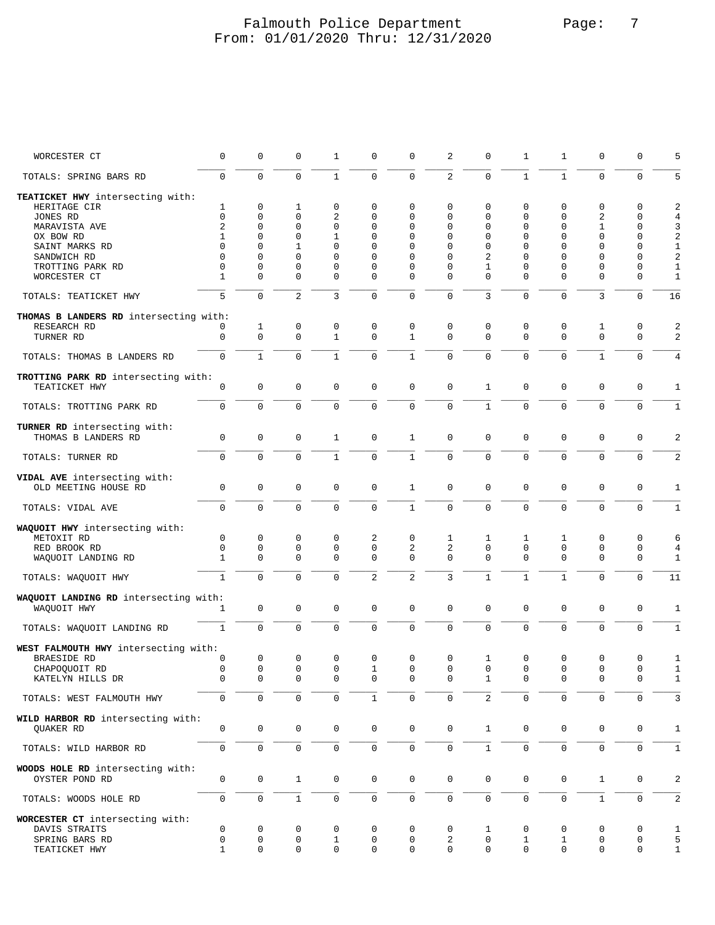### Falmouth Police Department Page: 7 From: 01/01/2020 Thru: 12/31/2020

| WORCESTER CT                           | 0                   | 0            | 0              | 1              | 0              | $\mathsf 0$    | 2                   | 0              | 1              | 1            | 0            | 0              | 5              |
|----------------------------------------|---------------------|--------------|----------------|----------------|----------------|----------------|---------------------|----------------|----------------|--------------|--------------|----------------|----------------|
| TOTALS: SPRING BARS RD                 | $\mathbf 0$         | $\Omega$     | $\Omega$       | $\mathbf{1}$   | $\mathbf 0$    | $\mathbf 0$    | $\overline{2}$      | $\Omega$       | $\mathbf{1}$   | $\mathbf{1}$ | $\Omega$     | $\mathbf 0$    | 5              |
| TEATICKET HWY intersecting with:       |                     |              |                |                |                |                |                     |                |                |              |              |                |                |
| HERITAGE CIR                           | 1                   | 0            | 1              | 0              | 0              | $\mathbf 0$    | 0                   | 0              | 0              | 0            | $\mathbf 0$  | 0              | $\sqrt{2}$     |
| JONES RD                               | $\mathbf 0$         | 0            | $\mathbf 0$    | $\overline{a}$ | 0              | 0              | 0                   | 0              | 0              | 0            | 2            | 0              | 4              |
|                                        |                     |              |                |                |                |                |                     |                |                |              |              |                |                |
| MARAVISTA AVE                          | 2                   | 0            | 0              | 0              | 0              | 0              | 0                   | $\Omega$       | 0              | 0            | $\mathbf{1}$ | 0              | 3              |
| OX BOW RD                              | 1                   | 0            | $\mathbf 0$    | 1              | 0              | 0              | 0                   | 0              | 0              | 0            | $\mathbf 0$  | 0              | $\sqrt{2}$     |
| SAINT MARKS RD                         | $\Omega$            | 0            | 1              | 0              | 0              | 0              | $\Omega$            | 0              | 0              | 0            | $\Omega$     | 0              | $\mathbf{1}$   |
| SANDWICH RD                            | $\Omega$            | $\Omega$     | 0              | 0              | $\Omega$       | 0              | $\Omega$            | 2              | 0              | 0            | $\Omega$     | 0              | $\sqrt{2}$     |
| TROTTING PARK RD                       | 0                   | 0            | 0              | 0              | 0              | 0              | 0                   | 1              | 0              | 0            | 0            | 0              | $\mathbf{1}$   |
|                                        | $\mathbf{1}$        | $\Omega$     | $\Omega$       | $\Omega$       |                | $\mathbf 0$    | $\Omega$            | $\Omega$       | 0              | $\Omega$     | $\Omega$     | 0              |                |
| WORCESTER CT                           |                     |              |                |                | 0              |                |                     |                |                |              |              |                | $\mathbf{1}$   |
| TOTALS: TEATICKET HWY                  | 5                   | 0            | $\overline{2}$ | 3              | $\mathsf 0$    | $\mathbf 0$    | $\mathbf 0$         | 3              | 0              | $\mathbf 0$  | 3            | 0              | 16             |
| THOMAS B LANDERS RD intersecting with: |                     |              |                |                |                |                |                     |                |                |              |              |                |                |
| RESEARCH RD                            | 0                   | 1            | 0              | 0              | 0              | $\mathsf 0$    | 0                   | 0              | 0              | 0            | 1            | 0              | 2              |
| TURNER RD                              | $\mathbf 0$         | $\mathbf 0$  | $\mathbf 0$    | $\mathbf{1}$   | $\mathbf 0$    | $\mathbf{1}$   | $\mathbf 0$         | $\Omega$       | 0              | $\mathbf 0$  | $\Omega$     | 0              | 2              |
|                                        |                     |              |                |                |                |                |                     |                |                |              |              |                |                |
| TOTALS: THOMAS B LANDERS RD            | $\mathbf 0$         | $\mathbf{1}$ | $\mathbf 0$    | $\mathbf{1}$   | $\mathbf 0$    | $\mathbf{1}$   | $\mathbf 0$         | 0              | 0              | $\mathbf 0$  | $\mathbf{1}$ | 0              | $\overline{4}$ |
| TROTTING PARK RD intersecting with:    |                     |              |                |                |                |                |                     |                |                |              |              |                |                |
| TEATICKET HWY                          | 0                   | 0            | $\mathbf 0$    | 0              | 0              | $\mathsf 0$    | $\mathbf 0$         | 1              | 0              | 0            | $\mathbf 0$  | 0              | $\mathbf 1$    |
|                                        |                     |              |                |                |                |                |                     |                |                |              |              |                |                |
| TOTALS: TROTTING PARK RD               | $\mathbf 0$         | $\mathbf 0$  | $\mathbf 0$    | 0              | $\mathbf 0$    | $\mathsf 0$    | $\mathbf 0$         | $\mathbf{1}$   | $\mathbf 0$    | $\mathbf 0$  | 0            | 0              | $\mathbf{1}$   |
|                                        |                     |              |                |                |                |                |                     |                |                |              |              |                |                |
| TURNER RD intersecting with:           |                     |              |                |                |                |                |                     |                |                |              |              |                |                |
| THOMAS B LANDERS RD                    | 0                   | $\mathsf 0$  | $\mathbf 0$    | 1              | 0              | $\mathbf{1}$   | $\mathbf 0$         | $\mathbf 0$    | 0              | $\mathbf 0$  | $\mathbf 0$  | $\mathbf 0$    | 2              |
| TOTALS: TURNER RD                      | $\mathbf 0$         | $\Omega$     | $\Omega$       | $\mathbf{1}$   | $\mathbf 0$    | $\mathbf{1}$   | $\Omega$            | $\Omega$       | $\Omega$       | $\mathbf 0$  | $\Omega$     | 0              | $\overline{2}$ |
|                                        |                     |              |                |                |                |                |                     |                |                |              |              |                |                |
| VIDAL AVE intersecting with:           |                     |              |                |                |                |                |                     |                |                |              |              |                |                |
|                                        |                     |              |                |                |                |                |                     |                |                |              |              |                |                |
| OLD MEETING HOUSE RD                   | 0                   | 0            | $\mathbf 0$    | 0              | 0              | $\mathbf{1}$   | $\mathbf 0$         | $\mathbf 0$    | 0              | $\mathbf 0$  | $\mathbf 0$  | $\mathbf 0$    | 1              |
|                                        | $\mathbf 0$         | $\mathbf 0$  | $\mathbf 0$    | 0              | $\mathbf 0$    | $1\,$          | $\mathbf 0$         | $\overline{0}$ | $\mathbf 0$    | $\mathbf 0$  | $\mathbf 0$  | 0              | $\mathbf{1}$   |
| TOTALS: VIDAL AVE                      |                     |              |                |                |                |                |                     |                |                |              |              |                |                |
| WAQUOIT HWY intersecting with:         |                     |              |                |                |                |                |                     |                |                |              |              |                |                |
|                                        |                     |              |                |                |                |                |                     |                |                |              |              |                |                |
| METOXIT RD                             | 0                   | 0            | 0              | 0              | 2              | 0              | 1                   | 1              | 1              | 1            | $\mathbf 0$  | 0              | 6              |
| RED BROOK RD                           | 0                   | 0            | 0              | 0              | 0              | 2              | 2                   | 0              | 0              | 0            | 0            | 0              | 4              |
| WAQUOIT LANDING RD                     | $\mathbf{1}$        | 0            | $\mathbf{0}$   | 0              | 0              | $\mathbf 0$    | $\mathbf 0$         | 0              | 0              | $\mathbf 0$  | $\mathbf{0}$ | 0              | $\mathbf 1$    |
|                                        |                     |              |                |                |                |                |                     |                |                |              |              |                |                |
| TOTALS: WAQUOIT HWY                    | $\mathbf{1}$        | $\mathbf 0$  | $\Omega$       | 0              | $\overline{2}$ | $\overline{2}$ | $\overline{3}$      | $1\,$          | $\mathbf{1}$   | $1\,$        | $\mathbf{0}$ | 0              | 11             |
| WAQUOIT LANDING RD intersecting with:  |                     |              |                |                |                |                |                     |                |                |              |              |                |                |
|                                        |                     |              |                |                |                |                |                     |                |                |              |              |                |                |
| WAQUOIT HWY                            | 1                   | 0            | $\mathsf 0$    | 0              | $\mathsf 0$    | $\mathbf 0$    | $\mathbf 0$         | $\mathbf 0$    | 0              | $\mathbf 0$  | $\mathbf 0$  | $\mathbf 0$    | $\mathbf 1$    |
| TOTALS: WAQUOIT LANDING RD             | $\mathbf{1}$        | $\mathsf 0$  | $\mathbf 0$    | 0              | $\mathsf 0$    | $\mathsf 0$    | $\mathsf 0$         | 0              | 0              | $\mathbf 0$  | 0            | $\mathbf 0$    | $\mathbf 1$    |
|                                        |                     |              |                |                |                |                |                     |                |                |              |              |                |                |
| WEST FALMOUTH HWY intersecting with:   |                     |              |                |                |                |                |                     |                |                |              |              |                |                |
| <b>BRAESIDE RD</b>                     | 0                   | 0            | $\mathbf 0$    | 0              | 0              | $\mathsf 0$    | $\mathbf 0$         | $\mathbf{1}$   | 0              | 0            | $\mathbf 0$  | 0              | 1              |
| CHAPOQUOIT RD                          | 0                   | 0            | $\mathsf 0$    | 0              | 1              | 0              | 0                   | 0              | 0              | 0            | $\mathbf 0$  | 0              | $\mathbf{1}$   |
| KATELYN HILLS DR                       | 0                   | 0            | $\mathbf 0$    | 0              | 0              | $\mathbf 0$    | $\mathbf 0$         | $\mathbf{1}$   | 0              | $\mathbf 0$  | $\mathbf 0$  | $\mathbf 0$    | $\mathbf{1}$   |
|                                        |                     |              |                |                |                |                |                     |                |                |              |              |                |                |
| TOTALS: WEST FALMOUTH HWY              | $\mathbf 0$         | $\mathsf 0$  | $\mathbf 0$    | 0              | $\mathbf{1}$   | $\mathsf 0$    | $\mathbf 0$         | $\overline{2}$ | $\mathbf 0$    | $\mathsf 0$  | $\mathbf 0$  | 0              | 3              |
| WILD HARBOR RD intersecting with:      |                     |              |                |                |                |                |                     |                |                |              |              |                |                |
|                                        |                     |              |                |                |                |                |                     |                |                |              |              |                |                |
| <b>OUAKER RD</b>                       | $\mathbf 0$         | $\mathbf 0$  | $\mathbf 0$    | 0              | 0              | $\mathbb O$    | $\mathsf 0$         | $\mathbf{1}$   | $\mathbf 0$    | $\mathbf 0$  | $\mathbf 0$  | $\mathbf 0$    | 1              |
|                                        |                     |              |                |                |                |                |                     |                |                |              |              |                |                |
| TOTALS: WILD HARBOR RD                 | $\mathsf{O}\xspace$ | $\mathbf 0$  | $\mathbf 0$    | 0              | $\mathbf 0$    | $\mathsf 0$    | $\mathsf{O}\xspace$ | $\mathbf{1}$   | $\mathbf 0$    | $\mathbf 0$  | $\mathbf 0$  | $\mathbf 0$    | $\mathbf{1}$   |
|                                        |                     |              |                |                |                |                |                     |                |                |              |              |                |                |
| WOODS HOLE RD intersecting with:       |                     |              |                |                |                |                |                     |                |                |              |              |                |                |
| OYSTER POND RD                         | 0                   | $\mathbf 0$  | $\mathbf{1}$   | $\mathbf 0$    | $\mathbf 0$    | $\mathbf 0$    | $\mathbf 0$         | $\mathsf 0$    | $\mathbf 0$    | $\mathbf 0$  | $\mathbf{1}$ | 0              | 2              |
|                                        |                     |              |                |                |                |                |                     |                |                |              |              |                |                |
| TOTALS: WOODS HOLE RD                  | 0                   | $\mathsf 0$  | $\mathbf{1}$   | 0              | 0              | $\mathsf 0$    | $\mathbf 0$         | 0              | $\overline{0}$ | $\mathsf 0$  | $\mathbf{1}$ | $\overline{0}$ | 2              |
|                                        |                     |              |                |                |                |                |                     |                |                |              |              |                |                |
| WORCESTER CT intersecting with:        |                     |              |                |                |                |                |                     |                |                |              |              |                |                |
| DAVIS STRAITS                          | 0                   | 0            | $\mathbf 0$    | 0              | 0              | $\mathbf 0$    | 0                   | 1              | 0              | 0            | 0            | $\mathbf 0$    | $\mathbf{1}$   |
| SPRING BARS RD                         | 0                   | 0            | $\mathbf 0$    | $\mathbf{1}$   | 0              | $\mathbf 0$    | 2                   | $\mathsf 0$    | 1              | $\mathbf{1}$ | $\mathbf 0$  | $\mathbf 0$    | 5              |
| TEATICKET HWY                          | $\mathbf{1}$        | 0            | $\mathbf 0$    | 0              | 0              | $\mathbf 0$    | $\mathbf 0$         | $\mathbf 0$    | $\mathbf 0$    | $\mathbf 0$  | $\mathbf 0$  | 0              | $\mathbf{1}$   |
|                                        |                     |              |                |                |                |                |                     |                |                |              |              |                |                |